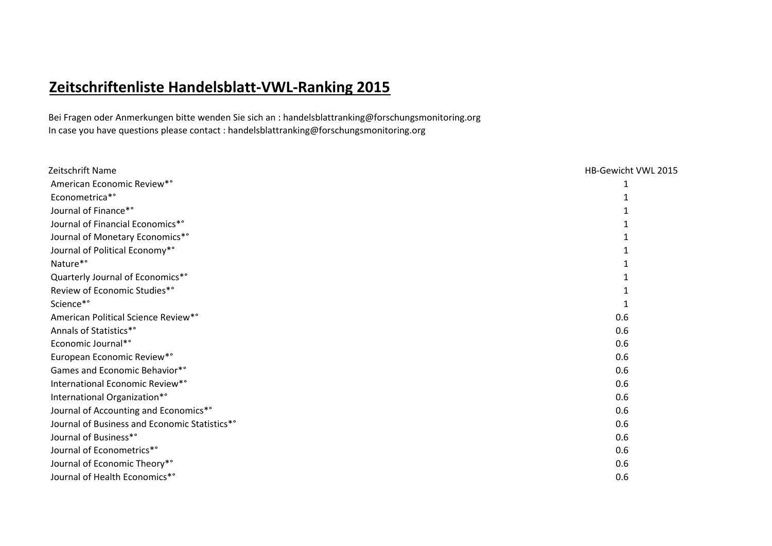## **Zeitschriftenliste Handelsblatt-VWL-Ranking 2015**

Bei Fragen oder Anmerkungen bitte wenden Sie sich an : handelsblattranking@forschungsmonitoring.org In case you have questions please contact : handelsblattranking@forschungsmonitoring.org

| Zeitschrift Name                              | HB-Gewicht VWL 2015 |
|-----------------------------------------------|---------------------|
| American Economic Review*°                    |                     |
| Econometrica*°                                |                     |
| Journal of Finance*°                          |                     |
| Journal of Financial Economics*°              |                     |
| Journal of Monetary Economics*°               |                     |
| Journal of Political Economy*°                |                     |
| Nature*°                                      |                     |
| Quarterly Journal of Economics*°              |                     |
| Review of Economic Studies*°                  |                     |
| Science*°                                     |                     |
| American Political Science Review*°           | 0.6                 |
| Annals of Statistics*°                        | 0.6                 |
| Economic Journal*°                            | 0.6                 |
| European Economic Review*°                    | 0.6                 |
| Games and Economic Behavior*°                 | 0.6                 |
| International Economic Review*°               | 0.6                 |
| International Organization*°                  | 0.6                 |
| Journal of Accounting and Economics*°         | 0.6                 |
| Journal of Business and Economic Statistics*° | 0.6                 |
| Journal of Business*°                         | 0.6                 |
| Journal of Econometrics*°                     | 0.6                 |
| Journal of Economic Theory*°                  | 0.6                 |
| Journal of Health Economics*°                 | 0.6                 |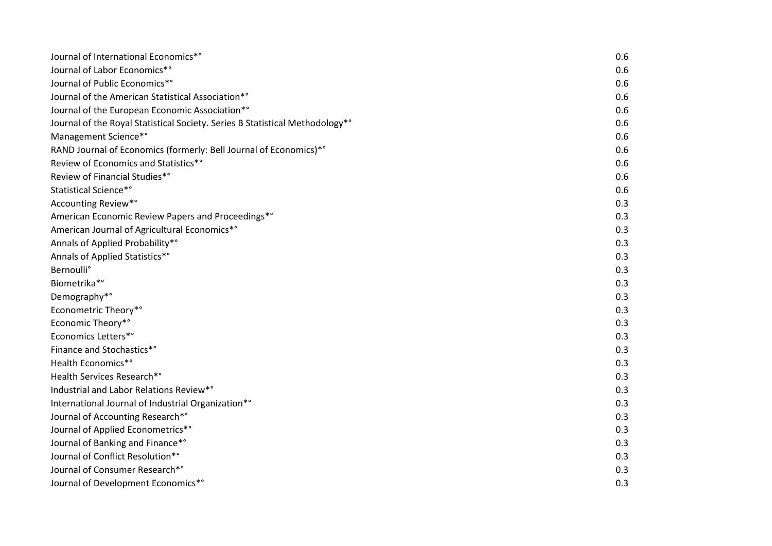| Journal of International Economics*°                                         | 0.6 |
|------------------------------------------------------------------------------|-----|
| Journal of Labor Economics*°                                                 | 0.6 |
| Journal of Public Economics*°                                                | 0.6 |
| Journal of the American Statistical Association*°                            | 0.6 |
| Journal of the European Economic Association*°                               | 0.6 |
| Journal of the Royal Statistical Society. Series B Statistical Methodology*° | 0.6 |
| Management Science*°                                                         | 0.6 |
| RAND Journal of Economics (formerly: Bell Journal of Economics)*°            | 0.6 |
| Review of Economics and Statistics*°                                         | 0.6 |
| Review of Financial Studies*°                                                | 0.6 |
| Statistical Science*°                                                        | 0.6 |
| Accounting Review*°                                                          | 0.3 |
| American Economic Review Papers and Proceedings*°                            | 0.3 |
| American Journal of Agricultural Economics*°                                 | 0.3 |
| Annals of Applied Probability*°                                              | 0.3 |
| Annals of Applied Statistics*°                                               | 0.3 |
| <b>Bernoulli</b> °                                                           | 0.3 |
| Biometrika*°                                                                 | 0.3 |
| Demography*°                                                                 | 0.3 |
| Econometric Theory*°                                                         | 0.3 |
| Economic Theory*°                                                            | 0.3 |
| Economics Letters*°                                                          | 0.3 |
| Finance and Stochastics*°                                                    | 0.3 |
| Health Economics*°                                                           | 0.3 |
| Health Services Research*°                                                   | 0.3 |
| Industrial and Labor Relations Review*°                                      | 0.3 |
| International Journal of Industrial Organization*°                           | 0.3 |
| Journal of Accounting Research*°                                             | 0.3 |
| Journal of Applied Econometrics*°                                            | 0.3 |
| Journal of Banking and Finance*°                                             | 0.3 |
| Journal of Conflict Resolution*°                                             | 0.3 |
| Journal of Consumer Research*°                                               | 0.3 |
| Journal of Development Economics*°                                           | 0.3 |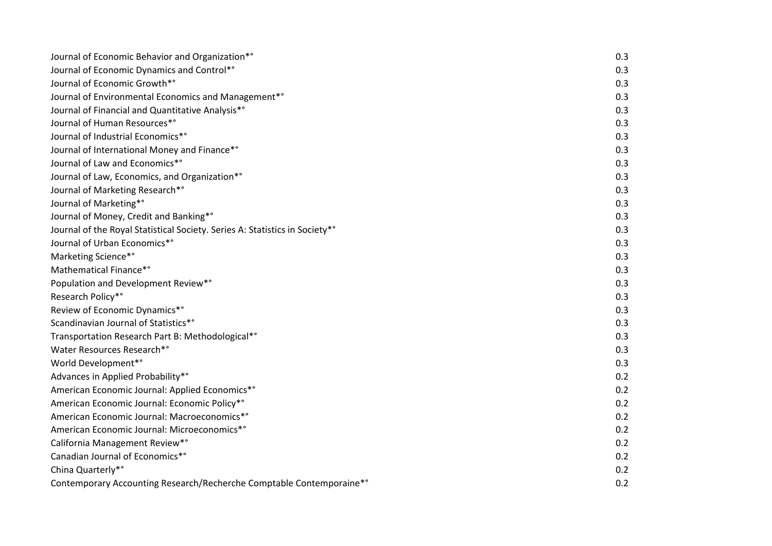| Journal of Economic Behavior and Organization*°                             | 0.3 |
|-----------------------------------------------------------------------------|-----|
| Journal of Economic Dynamics and Control*°                                  | 0.3 |
| Journal of Economic Growth*°                                                | 0.3 |
| Journal of Environmental Economics and Management* <sup>°</sup>             | 0.3 |
| Journal of Financial and Quantitative Analysis* <sup>°</sup>                | 0.3 |
| Journal of Human Resources*°                                                | 0.3 |
| Journal of Industrial Economics*°                                           | 0.3 |
| Journal of International Money and Finance*°                                | 0.3 |
| Journal of Law and Economics*°                                              | 0.3 |
| Journal of Law, Economics, and Organization*°                               | 0.3 |
| Journal of Marketing Research*°                                             | 0.3 |
| Journal of Marketing*°                                                      | 0.3 |
| Journal of Money, Credit and Banking*°                                      | 0.3 |
| Journal of the Royal Statistical Society. Series A: Statistics in Society*° | 0.3 |
| Journal of Urban Economics*°                                                | 0.3 |
| Marketing Science*°                                                         | 0.3 |
| Mathematical Finance*°                                                      | 0.3 |
| Population and Development Review*°                                         | 0.3 |
| Research Policy*°                                                           | 0.3 |
| Review of Economic Dynamics*°                                               | 0.3 |
| Scandinavian Journal of Statistics*°                                        | 0.3 |
| Transportation Research Part B: Methodological*°                            | 0.3 |
| Water Resources Research*°                                                  | 0.3 |
| World Development*°                                                         | 0.3 |
| Advances in Applied Probability*°                                           | 0.2 |
| American Economic Journal: Applied Economics*°                              | 0.2 |
| American Economic Journal: Economic Policy*°                                | 0.2 |
| American Economic Journal: Macroeconomics*°                                 | 0.2 |
| American Economic Journal: Microeconomics*°                                 | 0.2 |
| California Management Review*°                                              | 0.2 |
| Canadian Journal of Economics*°                                             | 0.2 |
| China Quarterly*°                                                           | 0.2 |
| Contemporary Accounting Research/Recherche Comptable Contemporaine*°        | 0.2 |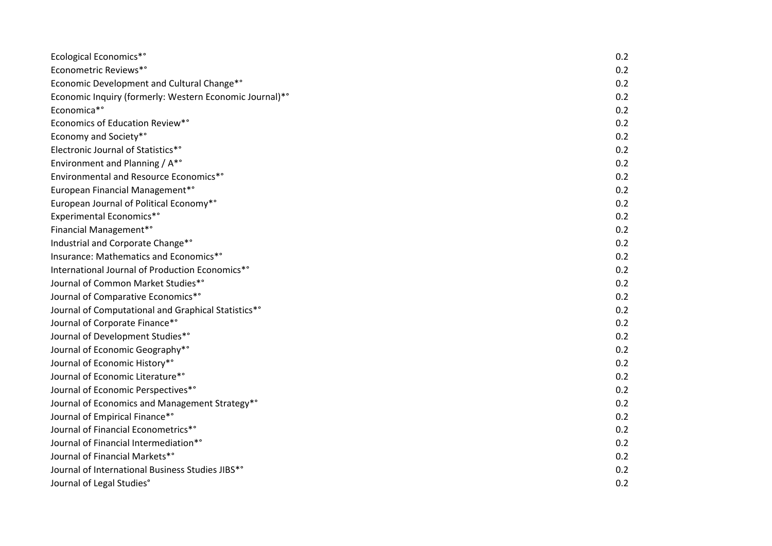| <b>Ecological Economics*</b> °                          | 0.2 |
|---------------------------------------------------------|-----|
| Econometric Reviews*°                                   | 0.2 |
| Economic Development and Cultural Change*°              | 0.2 |
| Economic Inquiry (formerly: Western Economic Journal)*° | 0.2 |
| Economica*°                                             | 0.2 |
| Economics of Education Review*°                         | 0.2 |
| Economy and Society*°                                   | 0.2 |
| Electronic Journal of Statistics*°                      | 0.2 |
| Environment and Planning / A*°                          | 0.2 |
| Environmental and Resource Economics*°                  | 0.2 |
| European Financial Management*°                         | 0.2 |
| European Journal of Political Economy*°                 | 0.2 |
| Experimental Economics*°                                | 0.2 |
| Financial Management*°                                  | 0.2 |
| Industrial and Corporate Change*°                       | 0.2 |
| Insurance: Mathematics and Economics*°                  | 0.2 |
| International Journal of Production Economics*°         | 0.2 |
| Journal of Common Market Studies*°                      | 0.2 |
| Journal of Comparative Economics*°                      | 0.2 |
| Journal of Computational and Graphical Statistics*°     | 0.2 |
| Journal of Corporate Finance*°                          | 0.2 |
| Journal of Development Studies*°                        | 0.2 |
| Journal of Economic Geography*°                         | 0.2 |
| Journal of Economic History*°                           | 0.2 |
| Journal of Economic Literature*°                        | 0.2 |
| Journal of Economic Perspectives*°                      | 0.2 |
| Journal of Economics and Management Strategy*°          | 0.2 |
| Journal of Empirical Finance*°                          | 0.2 |
| Journal of Financial Econometrics*°                     | 0.2 |
| Journal of Financial Intermediation*°                   | 0.2 |
| Journal of Financial Markets*°                          | 0.2 |
| Journal of International Business Studies JIBS*°        | 0.2 |
| Journal of Legal Studies°                               | 0.2 |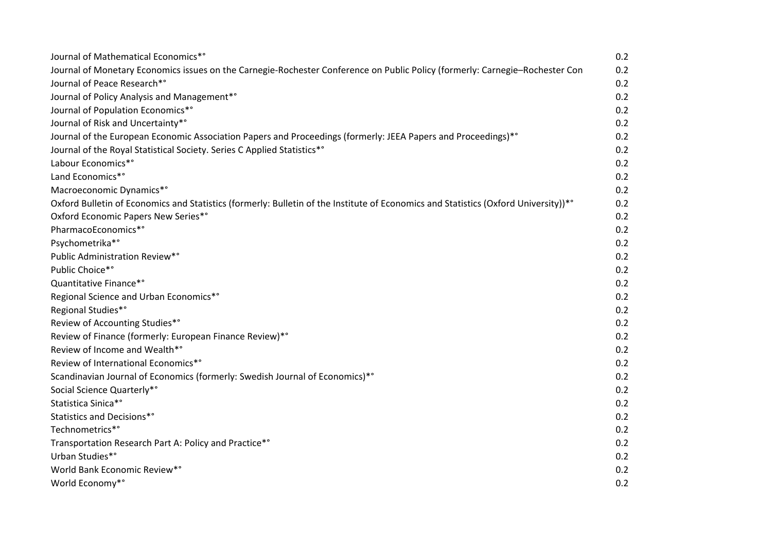| Journal of Mathematical Economics*°                                                                                                 | 0.2 |
|-------------------------------------------------------------------------------------------------------------------------------------|-----|
| Journal of Monetary Economics issues on the Carnegie-Rochester Conference on Public Policy (formerly: Carnegie-Rochester Con        | 0.2 |
| Journal of Peace Research*°                                                                                                         | 0.2 |
| Journal of Policy Analysis and Management*°                                                                                         | 0.2 |
| Journal of Population Economics*°                                                                                                   | 0.2 |
| Journal of Risk and Uncertainty*°                                                                                                   | 0.2 |
| Journal of the European Economic Association Papers and Proceedings (formerly: JEEA Papers and Proceedings)*°                       | 0.2 |
| Journal of the Royal Statistical Society. Series C Applied Statistics*°                                                             | 0.2 |
| Labour Economics*°                                                                                                                  | 0.2 |
| Land Economics*°                                                                                                                    | 0.2 |
| Macroeconomic Dynamics*°                                                                                                            | 0.2 |
| Oxford Bulletin of Economics and Statistics (formerly: Bulletin of the Institute of Economics and Statistics (Oxford University))*° | 0.2 |
| Oxford Economic Papers New Series*°                                                                                                 | 0.2 |
| PharmacoEconomics*°                                                                                                                 | 0.2 |
| Psychometrika*°                                                                                                                     | 0.2 |
| Public Administration Review*°                                                                                                      | 0.2 |
| Public Choice*°                                                                                                                     | 0.2 |
| Quantitative Finance*°                                                                                                              | 0.2 |
| Regional Science and Urban Economics*°                                                                                              | 0.2 |
| Regional Studies*°                                                                                                                  | 0.2 |
| Review of Accounting Studies*°                                                                                                      | 0.2 |
| Review of Finance (formerly: European Finance Review)*°                                                                             | 0.2 |
| Review of Income and Wealth*°                                                                                                       | 0.2 |
| Review of International Economics*°                                                                                                 | 0.2 |
| Scandinavian Journal of Economics (formerly: Swedish Journal of Economics)*°                                                        | 0.2 |
| Social Science Quarterly*°                                                                                                          | 0.2 |
| Statistica Sinica*°                                                                                                                 | 0.2 |
| Statistics and Decisions*°                                                                                                          | 0.2 |
| Technometrics*°                                                                                                                     | 0.2 |
| Transportation Research Part A: Policy and Practice*°                                                                               | 0.2 |
| Urban Studies*°                                                                                                                     | 0.2 |
| World Bank Economic Review*°                                                                                                        | 0.2 |
| World Economy*°                                                                                                                     | 0.2 |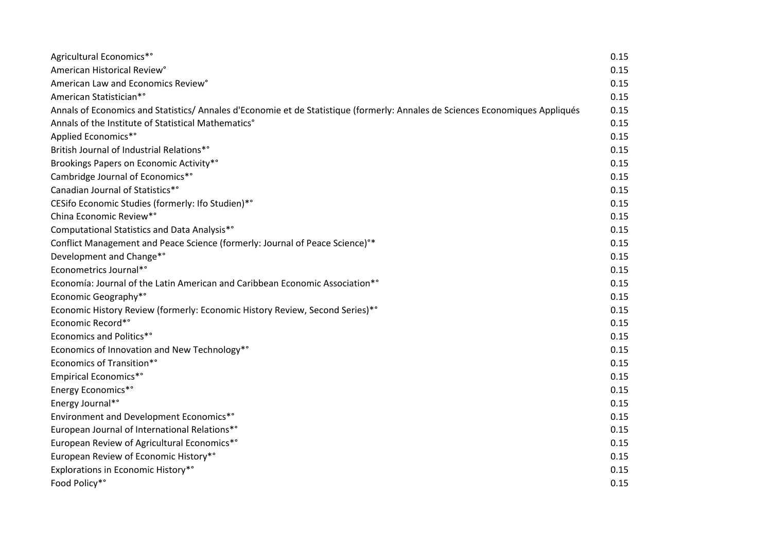| Agricultural Economics*°                                                                                                      | 0.15 |
|-------------------------------------------------------------------------------------------------------------------------------|------|
| American Historical Review°                                                                                                   | 0.15 |
| American Law and Economics Review°                                                                                            | 0.15 |
| American Statistician*°                                                                                                       | 0.15 |
| Annals of Economics and Statistics/ Annales d'Economie et de Statistique (formerly: Annales de Sciences Economiques Appliqués | 0.15 |
| Annals of the Institute of Statistical Mathematics°                                                                           | 0.15 |
| Applied Economics*°                                                                                                           | 0.15 |
| British Journal of Industrial Relations*°                                                                                     | 0.15 |
| Brookings Papers on Economic Activity*°                                                                                       | 0.15 |
| Cambridge Journal of Economics*°                                                                                              | 0.15 |
| Canadian Journal of Statistics*°                                                                                              | 0.15 |
| CESifo Economic Studies (formerly: Ifo Studien)*°                                                                             | 0.15 |
| China Economic Review*°                                                                                                       | 0.15 |
| Computational Statistics and Data Analysis*°                                                                                  | 0.15 |
| Conflict Management and Peace Science (formerly: Journal of Peace Science) <sup>o*</sup>                                      | 0.15 |
| Development and Change*°                                                                                                      | 0.15 |
| Econometrics Journal*°                                                                                                        | 0.15 |
| Economía: Journal of the Latin American and Caribbean Economic Association*°                                                  | 0.15 |
| Economic Geography*°                                                                                                          | 0.15 |
| Economic History Review (formerly: Economic History Review, Second Series)*°                                                  | 0.15 |
| Economic Record*°                                                                                                             | 0.15 |
| <b>Economics and Politics*°</b>                                                                                               | 0.15 |
| Economics of Innovation and New Technology*°                                                                                  | 0.15 |
| <b>Economics of Transition*°</b>                                                                                              | 0.15 |
| <b>Empirical Economics*</b> °                                                                                                 | 0.15 |
| <b>Energy Economics*</b> °                                                                                                    | 0.15 |
| Energy Journal*°                                                                                                              | 0.15 |
| Environment and Development Economics*°                                                                                       | 0.15 |
| European Journal of International Relations*°                                                                                 | 0.15 |
| European Review of Agricultural Economics*°                                                                                   | 0.15 |
| European Review of Economic History*°                                                                                         | 0.15 |
| Explorations in Economic History*°                                                                                            | 0.15 |
| Food Policy*°                                                                                                                 | 0.15 |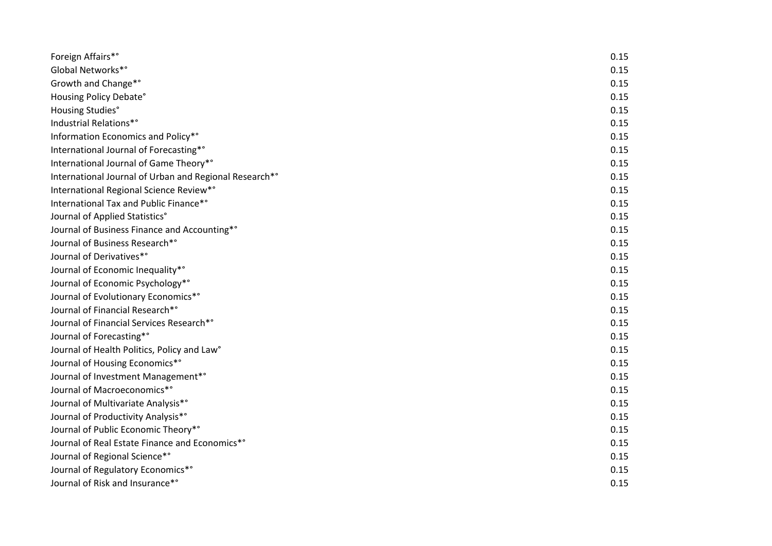| Foreign Affairs*°                                      | 0.15 |
|--------------------------------------------------------|------|
| Global Networks*°                                      | 0.15 |
| Growth and Change*°                                    | 0.15 |
| Housing Policy Debate°                                 | 0.15 |
| Housing Studies°                                       | 0.15 |
| Industrial Relations*°                                 | 0.15 |
| Information Economics and Policy*°                     | 0.15 |
| International Journal of Forecasting*°                 | 0.15 |
| International Journal of Game Theory*°                 | 0.15 |
| International Journal of Urban and Regional Research*° | 0.15 |
| International Regional Science Review*°                | 0.15 |
| International Tax and Public Finance*°                 | 0.15 |
| Journal of Applied Statistics°                         | 0.15 |
| Journal of Business Finance and Accounting*°           | 0.15 |
| Journal of Business Research*°                         | 0.15 |
| Journal of Derivatives*°                               | 0.15 |
| Journal of Economic Inequality* <sup>°</sup>           | 0.15 |
| Journal of Economic Psychology*°                       | 0.15 |
| Journal of Evolutionary Economics*°                    | 0.15 |
| Journal of Financial Research*°                        | 0.15 |
| Journal of Financial Services Research*°               | 0.15 |
| Journal of Forecasting*°                               | 0.15 |
| Journal of Health Politics, Policy and Law°            | 0.15 |
| Journal of Housing Economics*°                         | 0.15 |
| Journal of Investment Management*°                     | 0.15 |
| Journal of Macroeconomics*°                            | 0.15 |
| Journal of Multivariate Analysis*°                     | 0.15 |
| Journal of Productivity Analysis*°                     | 0.15 |
| Journal of Public Economic Theory*°                    | 0.15 |
| Journal of Real Estate Finance and Economics*°         | 0.15 |
| Journal of Regional Science*°                          | 0.15 |
| Journal of Regulatory Economics*°                      | 0.15 |
| Journal of Risk and Insurance*°                        | 0.15 |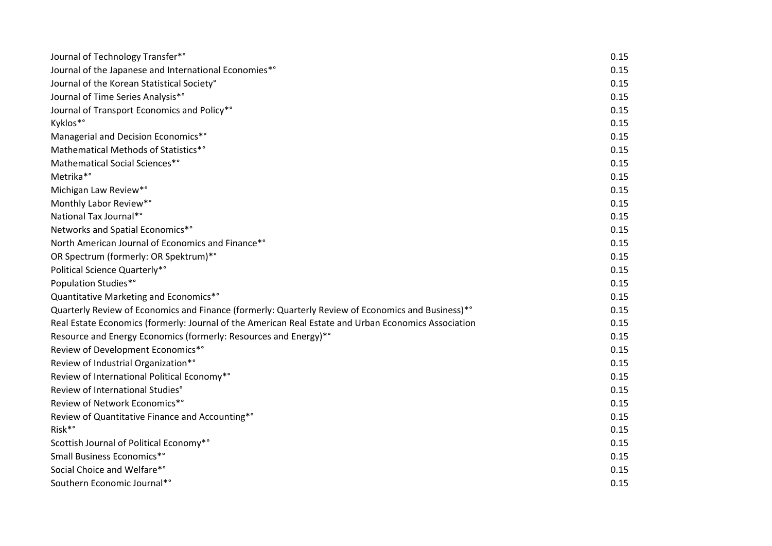| Journal of Technology Transfer*°                                                                     | 0.15 |
|------------------------------------------------------------------------------------------------------|------|
| Journal of the Japanese and International Economies*°                                                | 0.15 |
| Journal of the Korean Statistical Society°                                                           | 0.15 |
| Journal of Time Series Analysis*°                                                                    | 0.15 |
| Journal of Transport Economics and Policy*°                                                          | 0.15 |
| Kyklos*°                                                                                             | 0.15 |
| Managerial and Decision Economics*°                                                                  | 0.15 |
| Mathematical Methods of Statistics*°                                                                 | 0.15 |
| Mathematical Social Sciences*°                                                                       | 0.15 |
| Metrika*°                                                                                            | 0.15 |
| Michigan Law Review*°                                                                                | 0.15 |
| Monthly Labor Review*°                                                                               | 0.15 |
| National Tax Journal*°                                                                               | 0.15 |
| Networks and Spatial Economics*°                                                                     | 0.15 |
| North American Journal of Economics and Finance*°                                                    | 0.15 |
| OR Spectrum (formerly: OR Spektrum)*°                                                                | 0.15 |
| Political Science Quarterly*°                                                                        | 0.15 |
| Population Studies*°                                                                                 | 0.15 |
| Quantitative Marketing and Economics*°                                                               | 0.15 |
| Quarterly Review of Economics and Finance (formerly: Quarterly Review of Economics and Business)**   | 0.15 |
| Real Estate Economics (formerly: Journal of the American Real Estate and Urban Economics Association | 0.15 |
| Resource and Energy Economics (formerly: Resources and Energy)*°                                     | 0.15 |
| Review of Development Economics*°                                                                    | 0.15 |
| Review of Industrial Organization*°                                                                  | 0.15 |
| Review of International Political Economy*°                                                          | 0.15 |
| Review of International Studies°                                                                     | 0.15 |
| Review of Network Economics*°                                                                        | 0.15 |
| Review of Quantitative Finance and Accounting*°                                                      | 0.15 |
| Risk <sup>*</sup> °                                                                                  | 0.15 |
| Scottish Journal of Political Economy*°                                                              | 0.15 |
| Small Business Economics*°                                                                           | 0.15 |
| Social Choice and Welfare*°                                                                          | 0.15 |
| Southern Economic Journal*°                                                                          | 0.15 |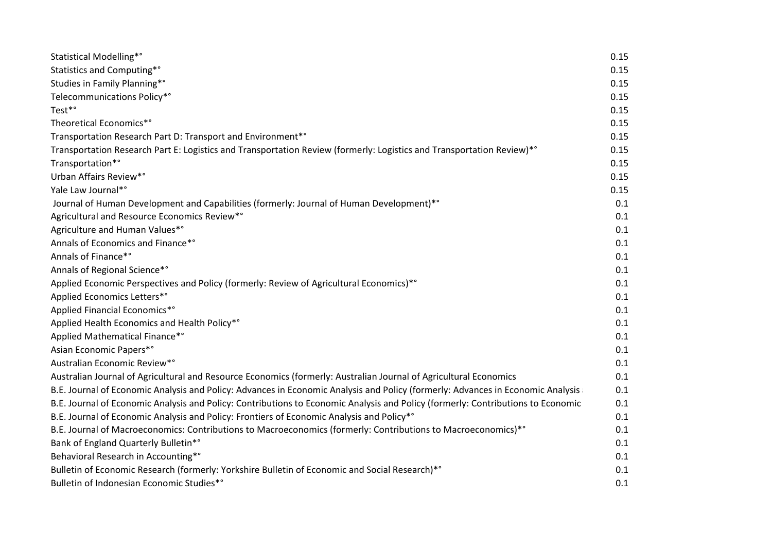| Statistical Modelling*°                                                                                                          | 0.15 |
|----------------------------------------------------------------------------------------------------------------------------------|------|
| Statistics and Computing*°                                                                                                       | 0.15 |
| Studies in Family Planning*°                                                                                                     | 0.15 |
| Telecommunications Policy*°                                                                                                      | 0.15 |
| Test*°                                                                                                                           | 0.15 |
| Theoretical Economics*°                                                                                                          | 0.15 |
| Transportation Research Part D: Transport and Environment*°                                                                      | 0.15 |
| Transportation Research Part E: Logistics and Transportation Review (formerly: Logistics and Transportation Review)*°            | 0.15 |
| Transportation*°                                                                                                                 | 0.15 |
| Urban Affairs Review*°                                                                                                           | 0.15 |
| Yale Law Journal*°                                                                                                               | 0.15 |
| Journal of Human Development and Capabilities (formerly: Journal of Human Development)**                                         | 0.1  |
| Agricultural and Resource Economics Review*°                                                                                     | 0.1  |
| Agriculture and Human Values*°                                                                                                   | 0.1  |
| Annals of Economics and Finance*°                                                                                                | 0.1  |
| Annals of Finance*°                                                                                                              | 0.1  |
| Annals of Regional Science*°                                                                                                     | 0.1  |
| Applied Economic Perspectives and Policy (formerly: Review of Agricultural Economics)*°                                          | 0.1  |
| Applied Economics Letters*°                                                                                                      | 0.1  |
| Applied Financial Economics*°                                                                                                    | 0.1  |
| Applied Health Economics and Health Policy*°                                                                                     | 0.1  |
| Applied Mathematical Finance*°                                                                                                   | 0.1  |
| Asian Economic Papers*°                                                                                                          | 0.1  |
| Australian Economic Review*°                                                                                                     | 0.1  |
| Australian Journal of Agricultural and Resource Economics (formerly: Australian Journal of Agricultural Economics                | 0.1  |
| B.E. Journal of Economic Analysis and Policy: Advances in Economic Analysis and Policy (formerly: Advances in Economic Analysis  | 0.1  |
| B.E. Journal of Economic Analysis and Policy: Contributions to Economic Analysis and Policy (formerly: Contributions to Economic | 0.1  |
| B.E. Journal of Economic Analysis and Policy: Frontiers of Economic Analysis and Policy*°                                        | 0.1  |
| B.E. Journal of Macroeconomics: Contributions to Macroeconomics (formerly: Contributions to Macroeconomics)*°                    | 0.1  |
| Bank of England Quarterly Bulletin*°                                                                                             | 0.1  |
| Behavioral Research in Accounting*°                                                                                              | 0.1  |
| Bulletin of Economic Research (formerly: Yorkshire Bulletin of Economic and Social Research)*°                                   | 0.1  |
| Bulletin of Indonesian Economic Studies*°                                                                                        | 0.1  |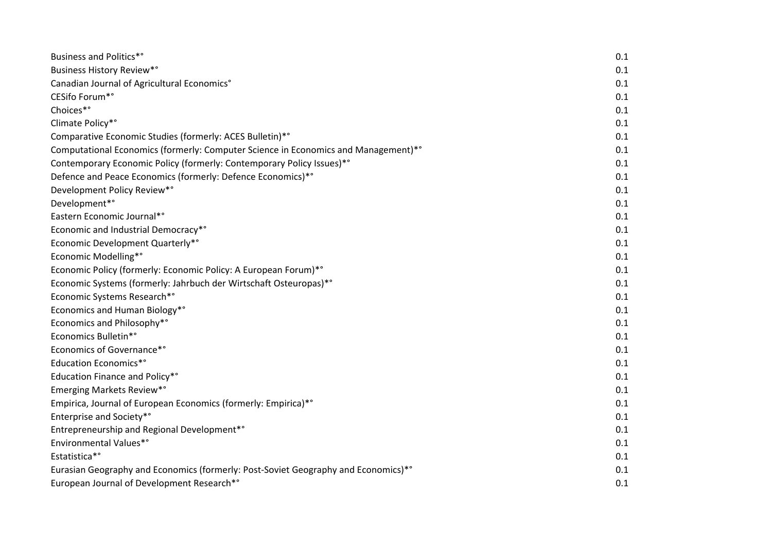| <b>Business and Politics*</b> °                                                    | 0.1 |
|------------------------------------------------------------------------------------|-----|
| Business History Review*°                                                          | 0.1 |
| Canadian Journal of Agricultural Economics°                                        | 0.1 |
| CESifo Forum*°                                                                     | 0.1 |
| Choices*°                                                                          | 0.1 |
| Climate Policy*°                                                                   | 0.1 |
| Comparative Economic Studies (formerly: ACES Bulletin)*°                           | 0.1 |
| Computational Economics (formerly: Computer Science in Economics and Management)*° | 0.1 |
| Contemporary Economic Policy (formerly: Contemporary Policy Issues)*°              | 0.1 |
| Defence and Peace Economics (formerly: Defence Economics)*°                        | 0.1 |
| Development Policy Review*°                                                        | 0.1 |
| Development*°                                                                      | 0.1 |
| Eastern Economic Journal*°                                                         | 0.1 |
| Economic and Industrial Democracy*°                                                | 0.1 |
| Economic Development Quarterly*°                                                   | 0.1 |
| Economic Modelling*°                                                               | 0.1 |
| Economic Policy (formerly: Economic Policy: A European Forum)*°                    | 0.1 |
| Economic Systems (formerly: Jahrbuch der Wirtschaft Osteuropas)*°                  | 0.1 |
| Economic Systems Research*°                                                        | 0.1 |
| Economics and Human Biology*°                                                      | 0.1 |
| Economics and Philosophy*°                                                         | 0.1 |
| <b>Economics Bulletin*</b> °                                                       | 0.1 |
| Economics of Governance*°                                                          | 0.1 |
| <b>Education Economics*</b> °                                                      | 0.1 |
| Education Finance and Policy*°                                                     | 0.1 |
| Emerging Markets Review*°                                                          | 0.1 |
| Empirica, Journal of European Economics (formerly: Empirica)*°                     | 0.1 |
| Enterprise and Society*°                                                           | 0.1 |
| Entrepreneurship and Regional Development*°                                        | 0.1 |
| Environmental Values*°                                                             | 0.1 |
| Estatistica*°                                                                      | 0.1 |
| Eurasian Geography and Economics (formerly: Post-Soviet Geography and Economics)*° | 0.1 |
| European Journal of Development Research*°                                         | 0.1 |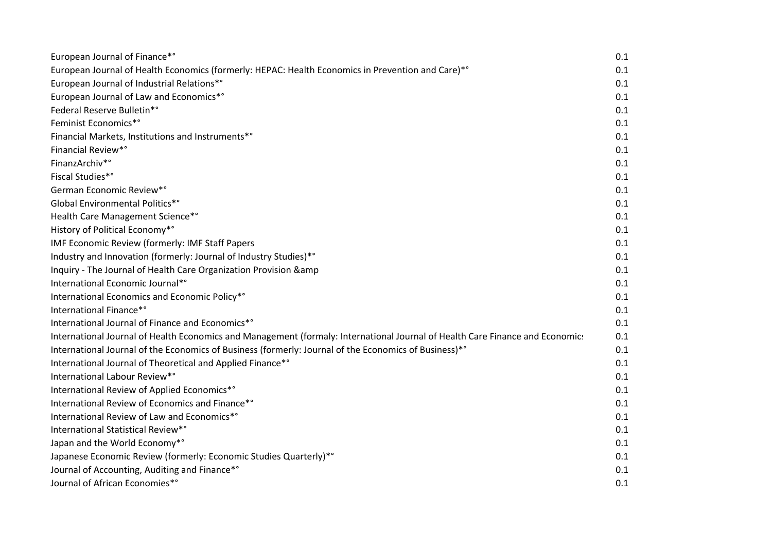| European Journal of Finance*°                                                                                                 | 0.1 |
|-------------------------------------------------------------------------------------------------------------------------------|-----|
| European Journal of Health Economics (formerly: HEPAC: Health Economics in Prevention and Care)*°                             | 0.1 |
| European Journal of Industrial Relations*°                                                                                    | 0.1 |
| European Journal of Law and Economics*°                                                                                       | 0.1 |
| Federal Reserve Bulletin*°                                                                                                    | 0.1 |
| Feminist Economics*°                                                                                                          | 0.1 |
| Financial Markets, Institutions and Instruments*°                                                                             | 0.1 |
| Financial Review*°                                                                                                            | 0.1 |
| FinanzArchiv*°                                                                                                                | 0.1 |
| Fiscal Studies*°                                                                                                              | 0.1 |
| German Economic Review*°                                                                                                      | 0.1 |
| Global Environmental Politics*°                                                                                               | 0.1 |
| Health Care Management Science*°                                                                                              | 0.1 |
| History of Political Economy*°                                                                                                | 0.1 |
| IMF Economic Review (formerly: IMF Staff Papers                                                                               | 0.1 |
| Industry and Innovation (formerly: Journal of Industry Studies)*°                                                             | 0.1 |
| Inquiry - The Journal of Health Care Organization Provision & amp                                                             | 0.1 |
| International Economic Journal*°                                                                                              | 0.1 |
| International Economics and Economic Policy*°                                                                                 | 0.1 |
| International Finance*°                                                                                                       | 0.1 |
| International Journal of Finance and Economics*°                                                                              | 0.1 |
| International Journal of Health Economics and Management (formaly: International Journal of Health Care Finance and Economics | 0.1 |
| International Journal of the Economics of Business (formerly: Journal of the Economics of Business)*°                         | 0.1 |
| International Journal of Theoretical and Applied Finance*°                                                                    | 0.1 |
| International Labour Review*°                                                                                                 | 0.1 |
| International Review of Applied Economics*°                                                                                   | 0.1 |
| International Review of Economics and Finance*°                                                                               | 0.1 |
| International Review of Law and Economics*°                                                                                   | 0.1 |
| International Statistical Review*°                                                                                            | 0.1 |
| Japan and the World Economy*°                                                                                                 | 0.1 |
| Japanese Economic Review (formerly: Economic Studies Quarterly)*°                                                             | 0.1 |
| Journal of Accounting, Auditing and Finance*°                                                                                 | 0.1 |
| Journal of African Economies*°                                                                                                | 0.1 |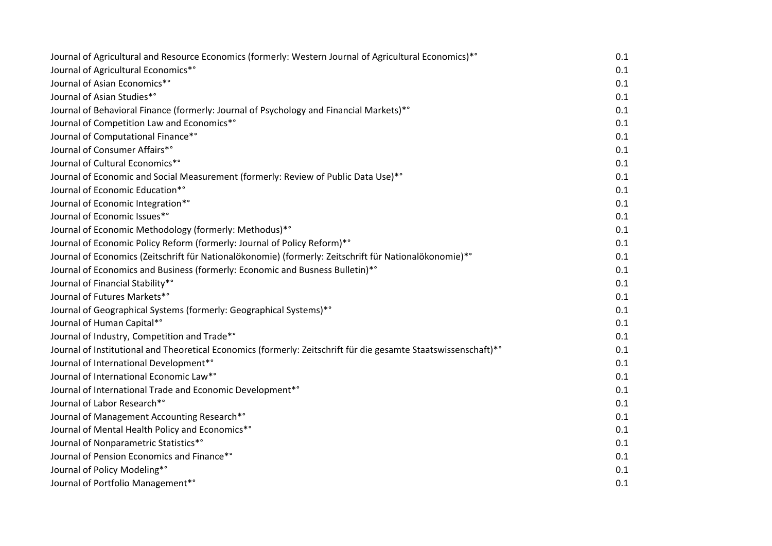| Journal of Agricultural and Resource Economics (formerly: Western Journal of Agricultural Economics)*°          | 0.1 |
|-----------------------------------------------------------------------------------------------------------------|-----|
| Journal of Agricultural Economics*°                                                                             | 0.1 |
| Journal of Asian Economics*°                                                                                    | 0.1 |
| Journal of Asian Studies*°                                                                                      | 0.1 |
| Journal of Behavioral Finance (formerly: Journal of Psychology and Financial Markets)*°                         | 0.1 |
| Journal of Competition Law and Economics*°                                                                      | 0.1 |
| Journal of Computational Finance*°                                                                              | 0.1 |
| Journal of Consumer Affairs*°                                                                                   | 0.1 |
| Journal of Cultural Economics*°                                                                                 | 0.1 |
| Journal of Economic and Social Measurement (formerly: Review of Public Data Use)*°                              | 0.1 |
| Journal of Economic Education*°                                                                                 | 0.1 |
| Journal of Economic Integration*°                                                                               | 0.1 |
| Journal of Economic Issues*°                                                                                    | 0.1 |
| Journal of Economic Methodology (formerly: Methodus)*°                                                          | 0.1 |
| Journal of Economic Policy Reform (formerly: Journal of Policy Reform)*°                                        | 0.1 |
| Journal of Economics (Zeitschrift für Nationalökonomie) (formerly: Zeitschrift für Nationalökonomie)*°          | 0.1 |
| Journal of Economics and Business (formerly: Economic and Busness Bulletin)*°                                   | 0.1 |
| Journal of Financial Stability*°                                                                                | 0.1 |
| Journal of Futures Markets*°                                                                                    | 0.1 |
| Journal of Geographical Systems (formerly: Geographical Systems)*°                                              | 0.1 |
| Journal of Human Capital*°                                                                                      | 0.1 |
| Journal of Industry, Competition and Trade*°                                                                    | 0.1 |
| Journal of Institutional and Theoretical Economics (formerly: Zeitschrift für die gesamte Staatswissenschaft)*° | 0.1 |
| Journal of International Development*°                                                                          | 0.1 |
| Journal of International Economic Law*°                                                                         | 0.1 |
| Journal of International Trade and Economic Development*°                                                       | 0.1 |
| Journal of Labor Research*°                                                                                     | 0.1 |
| Journal of Management Accounting Research*°                                                                     | 0.1 |
| Journal of Mental Health Policy and Economics*°                                                                 | 0.1 |
| Journal of Nonparametric Statistics*°                                                                           | 0.1 |
| Journal of Pension Economics and Finance*°                                                                      | 0.1 |
| Journal of Policy Modeling*°                                                                                    | 0.1 |
| Journal of Portfolio Management*°                                                                               | 0.1 |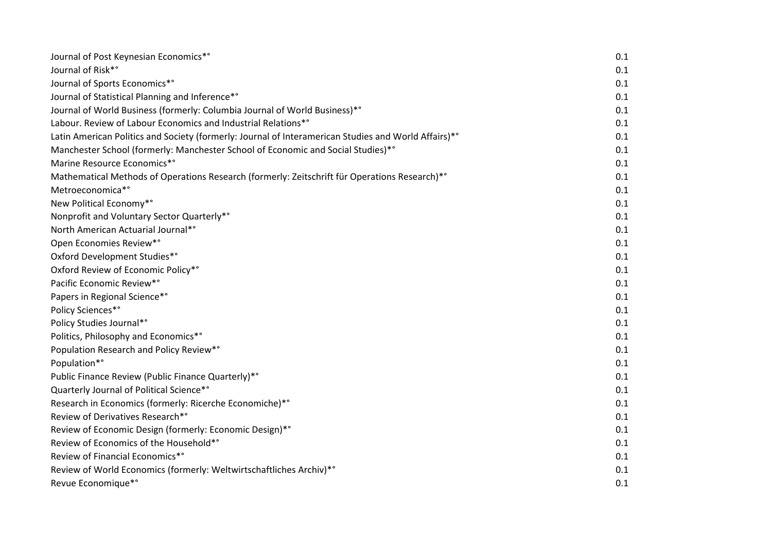| Journal of Post Keynesian Economics*°                                                                | 0.1 |
|------------------------------------------------------------------------------------------------------|-----|
| Journal of Risk*°                                                                                    | 0.1 |
| Journal of Sports Economics*°                                                                        | 0.1 |
| Journal of Statistical Planning and Inference*°                                                      | 0.1 |
| Journal of World Business (formerly: Columbia Journal of World Business)*°                           | 0.1 |
| Labour. Review of Labour Economics and Industrial Relations*°                                        | 0.1 |
| Latin American Politics and Society (formerly: Journal of Interamerican Studies and World Affairs)*° | 0.1 |
| Manchester School (formerly: Manchester School of Economic and Social Studies)*°                     | 0.1 |
| Marine Resource Economics*°                                                                          | 0.1 |
| Mathematical Methods of Operations Research (formerly: Zeitschrift für Operations Research)*°        | 0.1 |
| Metroeconomica*°                                                                                     | 0.1 |
| New Political Economy*°                                                                              | 0.1 |
| Nonprofit and Voluntary Sector Quarterly*°                                                           | 0.1 |
| North American Actuarial Journal*°                                                                   | 0.1 |
| Open Economies Review*°                                                                              | 0.1 |
| Oxford Development Studies*°                                                                         | 0.1 |
| Oxford Review of Economic Policy*°                                                                   | 0.1 |
| Pacific Economic Review*°                                                                            | 0.1 |
| Papers in Regional Science*°                                                                         | 0.1 |
| Policy Sciences*°                                                                                    | 0.1 |
| Policy Studies Journal*°                                                                             | 0.1 |
| Politics, Philosophy and Economics*°                                                                 | 0.1 |
| Population Research and Policy Review*°                                                              | 0.1 |
| Population*°                                                                                         | 0.1 |
| Public Finance Review (Public Finance Quarterly)*°                                                   | 0.1 |
| Quarterly Journal of Political Science*°                                                             | 0.1 |
| Research in Economics (formerly: Ricerche Economiche)*°                                              | 0.1 |
| Review of Derivatives Research*°                                                                     | 0.1 |
| Review of Economic Design (formerly: Economic Design)*°                                              | 0.1 |
| Review of Economics of the Household*°                                                               | 0.1 |
| Review of Financial Economics*°                                                                      | 0.1 |
| Review of World Economics (formerly: Weltwirtschaftliches Archiv)*°                                  | 0.1 |
| Revue Economique*°                                                                                   | 0.1 |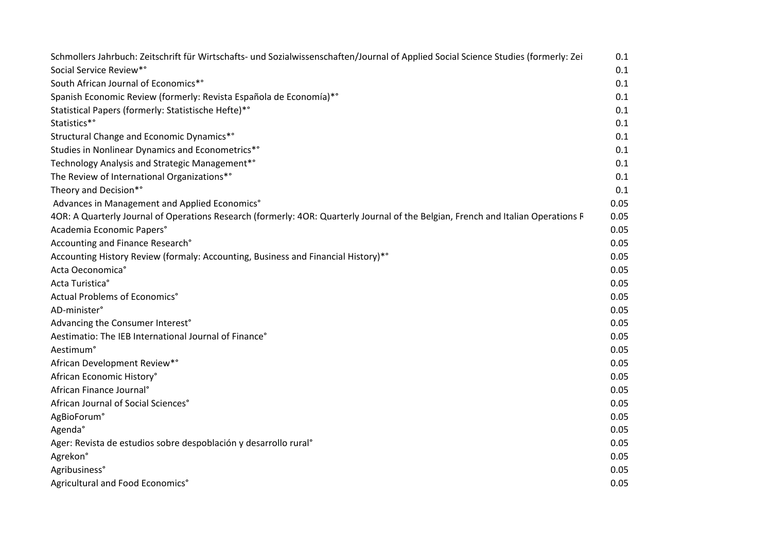| Schmollers Jahrbuch: Zeitschrift für Wirtschafts- und Sozialwissenschaften/Journal of Applied Social Science Studies (formerly: Zei | 0.1  |
|-------------------------------------------------------------------------------------------------------------------------------------|------|
| Social Service Review*°                                                                                                             | 0.1  |
| South African Journal of Economics*°                                                                                                | 0.1  |
| Spanish Economic Review (formerly: Revista Española de Economía)*°                                                                  | 0.1  |
| Statistical Papers (formerly: Statistische Hefte)*°                                                                                 | 0.1  |
| Statistics*°                                                                                                                        | 0.1  |
| Structural Change and Economic Dynamics*°                                                                                           | 0.1  |
| Studies in Nonlinear Dynamics and Econometrics*°                                                                                    | 0.1  |
| Technology Analysis and Strategic Management*°                                                                                      | 0.1  |
| The Review of International Organizations*°                                                                                         | 0.1  |
| Theory and Decision*°                                                                                                               | 0.1  |
| Advances in Management and Applied Economics°                                                                                       | 0.05 |
| 4OR: A Quarterly Journal of Operations Research (formerly: 4OR: Quarterly Journal of the Belgian, French and Italian Operations F   | 0.05 |
| Academia Economic Papers°                                                                                                           | 0.05 |
| Accounting and Finance Research°                                                                                                    | 0.05 |
| Accounting History Review (formaly: Accounting, Business and Financial History)*°                                                   | 0.05 |
| Acta Oeconomica°                                                                                                                    | 0.05 |
| Acta Turistica°                                                                                                                     | 0.05 |
| Actual Problems of Economics°                                                                                                       | 0.05 |
| AD-minister°                                                                                                                        | 0.05 |
| Advancing the Consumer Interest°                                                                                                    | 0.05 |
| Aestimatio: The IEB International Journal of Finance°                                                                               | 0.05 |
| Aestimum <sup>°</sup>                                                                                                               | 0.05 |
| African Development Review*°                                                                                                        | 0.05 |
| African Economic History°                                                                                                           | 0.05 |
| African Finance Journal <sup>°</sup>                                                                                                | 0.05 |
| African Journal of Social Sciences°                                                                                                 | 0.05 |
| AgBioForum°                                                                                                                         | 0.05 |
| Agenda°                                                                                                                             | 0.05 |
| Ager: Revista de estudios sobre despoblación y desarrollo rural <sup>o</sup>                                                        | 0.05 |
| Agrekon°                                                                                                                            | 0.05 |
| Agribusiness°                                                                                                                       | 0.05 |
| Agricultural and Food Economics°                                                                                                    | 0.05 |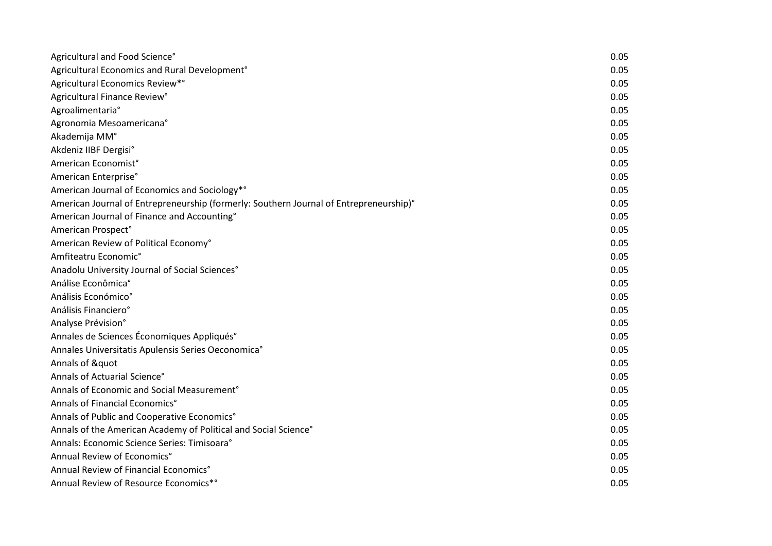| Agricultural and Food Science°                                                         | 0.05 |
|----------------------------------------------------------------------------------------|------|
| Agricultural Economics and Rural Development <sup>®</sup>                              | 0.05 |
| Agricultural Economics Review*°                                                        | 0.05 |
| Agricultural Finance Review°                                                           | 0.05 |
| Agroalimentaria°                                                                       | 0.05 |
| Agronomia Mesoamericana°                                                               | 0.05 |
| Akademija MM°                                                                          | 0.05 |
| Akdeniz IIBF Dergisi°                                                                  | 0.05 |
| American Economist°                                                                    | 0.05 |
| American Enterprise°                                                                   | 0.05 |
| American Journal of Economics and Sociology*°                                          | 0.05 |
| American Journal of Entrepreneurship (formerly: Southern Journal of Entrepreneurship)° | 0.05 |
| American Journal of Finance and Accounting°                                            | 0.05 |
| American Prospect°                                                                     | 0.05 |
| American Review of Political Economy°                                                  | 0.05 |
| Amfiteatru Economic°                                                                   | 0.05 |
| Anadolu University Journal of Social Sciences°                                         | 0.05 |
| Análise Econômica°                                                                     | 0.05 |
| Análisis Económico°                                                                    | 0.05 |
| Análisis Financiero°                                                                   | 0.05 |
| Analyse Prévision°                                                                     | 0.05 |
| Annales de Sciences Économiques Appliqués°                                             | 0.05 |
| Annales Universitatis Apulensis Series Oeconomica°                                     | 0.05 |
| Annals of "                                                                            | 0.05 |
| Annals of Actuarial Science°                                                           | 0.05 |
| Annals of Economic and Social Measurement <sup>°</sup>                                 | 0.05 |
| Annals of Financial Economics°                                                         | 0.05 |
| Annals of Public and Cooperative Economics°                                            | 0.05 |
| Annals of the American Academy of Political and Social Science°                        | 0.05 |
| Annals: Economic Science Series: Timisoara°                                            | 0.05 |
| Annual Review of Economics°                                                            | 0.05 |
| Annual Review of Financial Economics°                                                  | 0.05 |
| Annual Review of Resource Economics*°                                                  | 0.05 |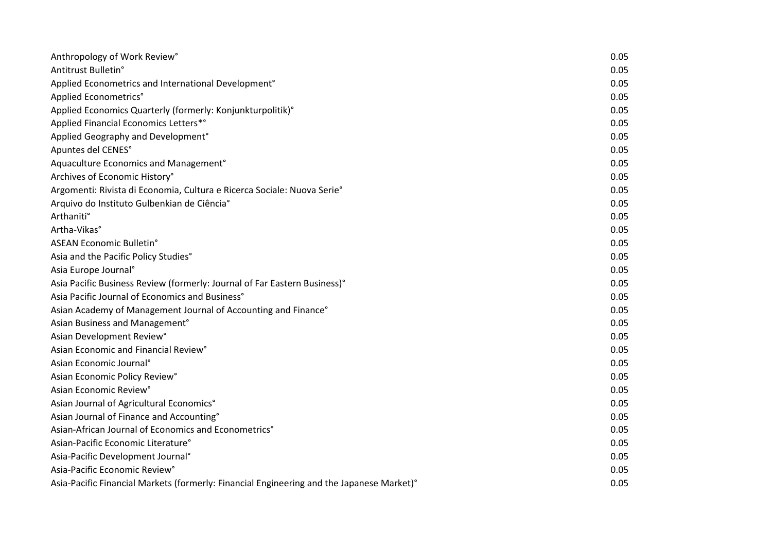| Anthropology of Work Review°                                                              | 0.05 |
|-------------------------------------------------------------------------------------------|------|
| Antitrust Bulletin°                                                                       | 0.05 |
| Applied Econometrics and International Development <sup>®</sup>                           | 0.05 |
| Applied Econometrics°                                                                     | 0.05 |
| Applied Economics Quarterly (formerly: Konjunkturpolitik)°                                | 0.05 |
| Applied Financial Economics Letters*°                                                     | 0.05 |
| Applied Geography and Development°                                                        | 0.05 |
| Apuntes del CENES°                                                                        | 0.05 |
| Aquaculture Economics and Management <sup>®</sup>                                         | 0.05 |
| Archives of Economic History°                                                             | 0.05 |
| Argomenti: Rivista di Economia, Cultura e Ricerca Sociale: Nuova Serie°                   | 0.05 |
| Arquivo do Instituto Gulbenkian de Ciência°                                               | 0.05 |
| Arthaniti°                                                                                | 0.05 |
| Artha-Vikas°                                                                              | 0.05 |
| ASEAN Economic Bulletin°                                                                  | 0.05 |
| Asia and the Pacific Policy Studies°                                                      | 0.05 |
| Asia Europe Journal <sup>°</sup>                                                          | 0.05 |
| Asia Pacific Business Review (formerly: Journal of Far Eastern Business)°                 | 0.05 |
| Asia Pacific Journal of Economics and Business°                                           | 0.05 |
| Asian Academy of Management Journal of Accounting and Finance°                            | 0.05 |
| Asian Business and Management°                                                            | 0.05 |
| Asian Development Review°                                                                 | 0.05 |
| Asian Economic and Financial Review°                                                      | 0.05 |
| Asian Economic Journal <sup>°</sup>                                                       | 0.05 |
| Asian Economic Policy Review°                                                             | 0.05 |
| Asian Economic Review <sup>°</sup>                                                        | 0.05 |
| Asian Journal of Agricultural Economics°                                                  | 0.05 |
| Asian Journal of Finance and Accounting°                                                  | 0.05 |
| Asian-African Journal of Economics and Econometrics°                                      | 0.05 |
| Asian-Pacific Economic Literature°                                                        | 0.05 |
| Asia-Pacific Development Journal®                                                         | 0.05 |
| Asia-Pacific Economic Review°                                                             | 0.05 |
| Asia-Pacific Financial Markets (formerly: Financial Engineering and the Japanese Market)° | 0.05 |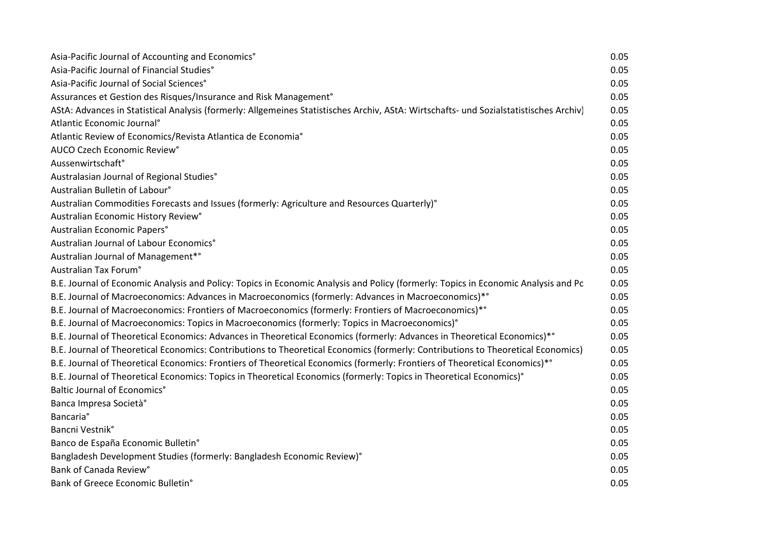| Asia-Pacific Journal of Accounting and Economics°                                                                                      | 0.05 |
|----------------------------------------------------------------------------------------------------------------------------------------|------|
| Asia-Pacific Journal of Financial Studies°                                                                                             | 0.05 |
| Asia-Pacific Journal of Social Sciences°                                                                                               | 0.05 |
| Assurances et Gestion des Risques/Insurance and Risk Management°                                                                       | 0.05 |
| AStA: Advances in Statistical Analysis (formerly: Allgemeines Statistisches Archiv, AStA: Wirtschafts- und Sozialstatistisches Archiv) | 0.05 |
| Atlantic Economic Journal <sup>®</sup>                                                                                                 | 0.05 |
| Atlantic Review of Economics/Revista Atlantica de Economia°                                                                            | 0.05 |
| AUCO Czech Economic Review°                                                                                                            | 0.05 |
| Aussenwirtschaft°                                                                                                                      | 0.05 |
| Australasian Journal of Regional Studies°                                                                                              | 0.05 |
| Australian Bulletin of Labour°                                                                                                         | 0.05 |
| Australian Commodities Forecasts and Issues (formerly: Agriculture and Resources Quarterly)°                                           | 0.05 |
| Australian Economic History Review°                                                                                                    | 0.05 |
| Australian Economic Papers°                                                                                                            | 0.05 |
| Australian Journal of Labour Economics°                                                                                                | 0.05 |
| Australian Journal of Management* <sup>°</sup>                                                                                         | 0.05 |
| Australian Tax Forum°                                                                                                                  | 0.05 |
| B.E. Journal of Economic Analysis and Policy: Topics in Economic Analysis and Policy (formerly: Topics in Economic Analysis and Pc     | 0.05 |
| B.E. Journal of Macroeconomics: Advances in Macroeconomics (formerly: Advances in Macroeconomics)*°                                    | 0.05 |
| B.E. Journal of Macroeconomics: Frontiers of Macroeconomics (formerly: Frontiers of Macroeconomics)*°                                  | 0.05 |
| B.E. Journal of Macroeconomics: Topics in Macroeconomics (formerly: Topics in Macroeconomics)°                                         | 0.05 |
| B.E. Journal of Theoretical Economics: Advances in Theoretical Economics (formerly: Advances in Theoretical Economics)*°               | 0.05 |
| B.E. Journal of Theoretical Economics: Contributions to Theoretical Economics (formerly: Contributions to Theoretical Economics)       | 0.05 |
| B.E. Journal of Theoretical Economics: Frontiers of Theoretical Economics (formerly: Frontiers of Theoretical Economics)*°             | 0.05 |
| B.E. Journal of Theoretical Economics: Topics in Theoretical Economics (formerly: Topics in Theoretical Economics)°                    | 0.05 |
| Baltic Journal of Economics°                                                                                                           | 0.05 |
| Banca Impresa Società°                                                                                                                 | 0.05 |
| <b>Bancaria</b> °                                                                                                                      | 0.05 |
| Bancni Vestnik°                                                                                                                        | 0.05 |
| Banco de España Economic Bulletin°                                                                                                     | 0.05 |
| Bangladesh Development Studies (formerly: Bangladesh Economic Review)°                                                                 | 0.05 |
| Bank of Canada Review°                                                                                                                 | 0.05 |
| Bank of Greece Economic Bulletin°                                                                                                      | 0.05 |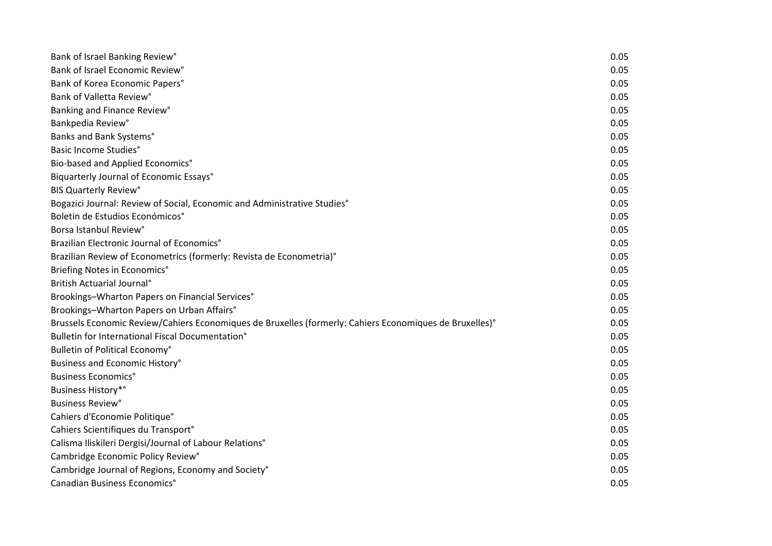| Bank of Israel Banking Review°                                                                          | 0.05 |
|---------------------------------------------------------------------------------------------------------|------|
| Bank of Israel Economic Review°                                                                         | 0.05 |
| Bank of Korea Economic Papers°                                                                          | 0.05 |
| Bank of Valletta Review°                                                                                | 0.05 |
| Banking and Finance Review°                                                                             | 0.05 |
| Bankpedia Review°                                                                                       | 0.05 |
| Banks and Bank Systems°                                                                                 | 0.05 |
| <b>Basic Income Studies°</b>                                                                            | 0.05 |
| Bio-based and Applied Economics°                                                                        | 0.05 |
| Biquarterly Journal of Economic Essays°                                                                 | 0.05 |
| <b>BIS Quarterly Review°</b>                                                                            | 0.05 |
| Bogazici Journal: Review of Social, Economic and Administrative Studies°                                | 0.05 |
| Boletin de Estudios Económicos°                                                                         | 0.05 |
| Borsa Istanbul Review°                                                                                  | 0.05 |
| Brazilian Electronic Journal of Economics°                                                              | 0.05 |
| Brazilian Review of Econometrics (formerly: Revista de Econometria)°                                    | 0.05 |
| Briefing Notes in Economics°                                                                            | 0.05 |
| British Actuarial Journal <sup>®</sup>                                                                  | 0.05 |
| Brookings-Wharton Papers on Financial Services°                                                         | 0.05 |
| Brookings-Wharton Papers on Urban Affairs°                                                              | 0.05 |
| Brussels Economic Review/Cahiers Economiques de Bruxelles (formerly: Cahiers Economiques de Bruxelles)° | 0.05 |
| Bulletin for International Fiscal Documentation <sup>°</sup>                                            | 0.05 |
| Bulletin of Political Economy°                                                                          | 0.05 |
| Business and Economic History°                                                                          | 0.05 |
| <b>Business Economics°</b>                                                                              | 0.05 |
| <b>Business History*°</b>                                                                               | 0.05 |
| <b>Business Review<sup>°</sup></b>                                                                      | 0.05 |
| Cahiers d'Economie Politique°                                                                           | 0.05 |
| Cahiers Scientifiques du Transport°                                                                     | 0.05 |
| Calisma Iliskileri Dergisi/Journal of Labour Relations°                                                 | 0.05 |
| Cambridge Economic Policy Review°                                                                       | 0.05 |
| Cambridge Journal of Regions, Economy and Society°                                                      | 0.05 |
| Canadian Business Economics°                                                                            | 0.05 |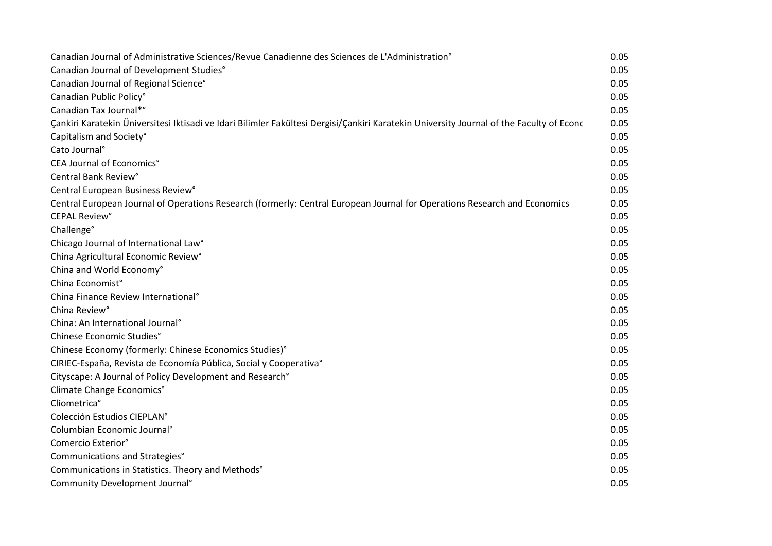| Canadian Journal of Administrative Sciences/Revue Canadienne des Sciences de L'Administration°                                           | 0.05 |
|------------------------------------------------------------------------------------------------------------------------------------------|------|
| Canadian Journal of Development Studies°                                                                                                 | 0.05 |
| Canadian Journal of Regional Science°                                                                                                    | 0.05 |
| Canadian Public Policy°                                                                                                                  | 0.05 |
| Canadian Tax Journal*°                                                                                                                   | 0.05 |
| Çankiri Karatekin Üniversitesi Iktisadi ve Idari Bilimler Fakültesi Dergisi/Çankiri Karatekin University Journal of the Faculty of Econc | 0.05 |
| Capitalism and Society°                                                                                                                  | 0.05 |
| Cato Journal <sup>°</sup>                                                                                                                | 0.05 |
| CEA Journal of Economics°                                                                                                                | 0.05 |
| Central Bank Review°                                                                                                                     | 0.05 |
| Central European Business Review°                                                                                                        | 0.05 |
| Central European Journal of Operations Research (formerly: Central European Journal for Operations Research and Economics                | 0.05 |
| <b>CEPAL Review<sup>°</sup></b>                                                                                                          | 0.05 |
| Challenge°                                                                                                                               | 0.05 |
| Chicago Journal of International Law°                                                                                                    | 0.05 |
| China Agricultural Economic Review°                                                                                                      | 0.05 |
| China and World Economy°                                                                                                                 | 0.05 |
| China Economist°                                                                                                                         | 0.05 |
| China Finance Review International <sup>°</sup>                                                                                          | 0.05 |
| China Review°                                                                                                                            | 0.05 |
| China: An International Journal <sup>°</sup>                                                                                             | 0.05 |
| Chinese Economic Studies°                                                                                                                | 0.05 |
| Chinese Economy (formerly: Chinese Economics Studies)°                                                                                   | 0.05 |
| CIRIEC-España, Revista de Economía Pública, Social y Cooperativa°                                                                        | 0.05 |
| Cityscape: A Journal of Policy Development and Research°                                                                                 | 0.05 |
| Climate Change Economics°                                                                                                                | 0.05 |
| Cliometrica°                                                                                                                             | 0.05 |
| Colección Estudios CIEPLAN°                                                                                                              | 0.05 |
| Columbian Economic Journal <sup>®</sup>                                                                                                  | 0.05 |
| Comercio Exterior°                                                                                                                       | 0.05 |
| Communications and Strategies°                                                                                                           | 0.05 |
| Communications in Statistics. Theory and Methods°                                                                                        | 0.05 |
| Community Development Journal <sup>°</sup>                                                                                               | 0.05 |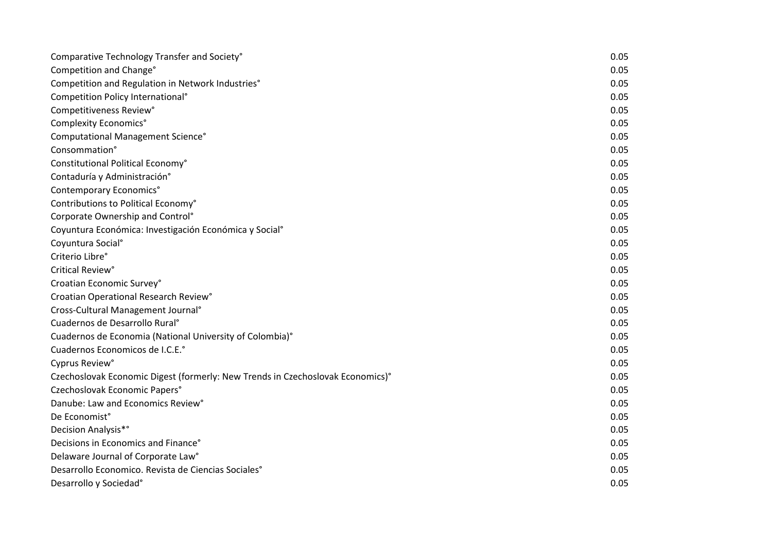| Comparative Technology Transfer and Society°                                   | 0.05 |
|--------------------------------------------------------------------------------|------|
| Competition and Change°                                                        | 0.05 |
| Competition and Regulation in Network Industries°                              | 0.05 |
| Competition Policy International <sup>®</sup>                                  | 0.05 |
| Competitiveness Review°                                                        | 0.05 |
| Complexity Economics°                                                          | 0.05 |
| Computational Management Science°                                              | 0.05 |
| Consommation°                                                                  | 0.05 |
| Constitutional Political Economy°                                              | 0.05 |
| Contaduría y Administración°                                                   | 0.05 |
| Contemporary Economics°                                                        | 0.05 |
| Contributions to Political Economy°                                            | 0.05 |
| Corporate Ownership and Control <sup>°</sup>                                   | 0.05 |
| Coyuntura Económica: Investigación Económica y Social <sup>o</sup>             | 0.05 |
| Coyuntura Social <sup>°</sup>                                                  | 0.05 |
| Criterio Libre°                                                                | 0.05 |
| Critical Review°                                                               | 0.05 |
| Croatian Economic Survey°                                                      | 0.05 |
| Croatian Operational Research Review°                                          | 0.05 |
| Cross-Cultural Management Journal <sup>®</sup>                                 | 0.05 |
| Cuadernos de Desarrollo Rural <sup>o</sup>                                     | 0.05 |
| Cuadernos de Economia (National University of Colombia)°                       | 0.05 |
| Cuadernos Economicos de I.C.E.º                                                | 0.05 |
| Cyprus Review°                                                                 | 0.05 |
| Czechoslovak Economic Digest (formerly: New Trends in Czechoslovak Economics)° | 0.05 |
| Czechoslovak Economic Papers°                                                  | 0.05 |
| Danube: Law and Economics Review°                                              | 0.05 |
| De Economist°                                                                  | 0.05 |
| Decision Analysis* <sup>°</sup>                                                | 0.05 |
| Decisions in Economics and Finance°                                            | 0.05 |
| Delaware Journal of Corporate Law°                                             | 0.05 |
| Desarrollo Economico. Revista de Ciencias Sociales <sup>®</sup>                | 0.05 |
| Desarrollo y Sociedad°                                                         | 0.05 |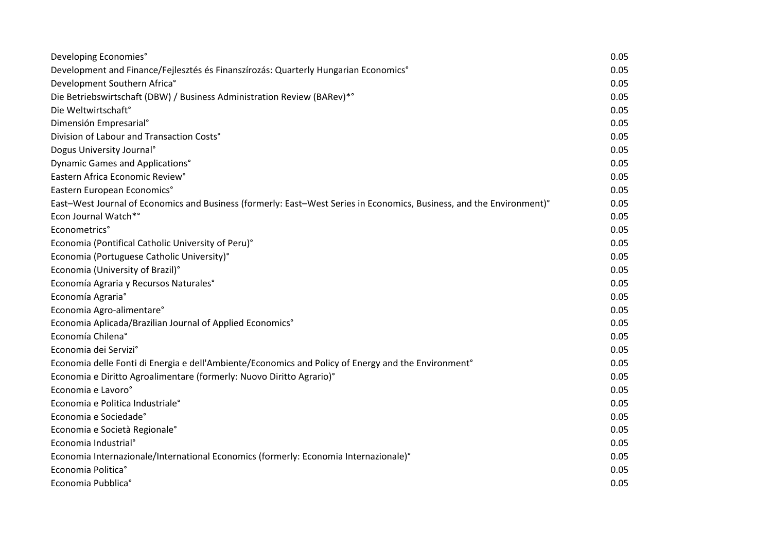| Developing Economies°                                                                                                 | 0.05 |
|-----------------------------------------------------------------------------------------------------------------------|------|
| Development and Finance/Fejlesztés és Finanszírozás: Quarterly Hungarian Economics°                                   | 0.05 |
| Development Southern Africa°                                                                                          | 0.05 |
| Die Betriebswirtschaft (DBW) / Business Administration Review (BARev)*°                                               | 0.05 |
| Die Weltwirtschaft <sup>®</sup>                                                                                       | 0.05 |
| Dimensión Empresarial <sup>o</sup>                                                                                    | 0.05 |
| Division of Labour and Transaction Costs°                                                                             | 0.05 |
| Dogus University Journal <sup>®</sup>                                                                                 | 0.05 |
| Dynamic Games and Applications°                                                                                       | 0.05 |
| Eastern Africa Economic Review°                                                                                       | 0.05 |
| Eastern European Economics°                                                                                           | 0.05 |
| East-West Journal of Economics and Business (formerly: East-West Series in Economics, Business, and the Environment)° | 0.05 |
| Econ Journal Watch*°                                                                                                  | 0.05 |
| Econometrics°                                                                                                         | 0.05 |
| Economia (Pontifical Catholic University of Peru)°                                                                    | 0.05 |
| Economia (Portuguese Catholic University)°                                                                            | 0.05 |
| Economia (University of Brazil)°                                                                                      | 0.05 |
| Economía Agraria y Recursos Naturales°                                                                                | 0.05 |
| Economía Agraria°                                                                                                     | 0.05 |
| Economia Agro-alimentare°                                                                                             | 0.05 |
| Economia Aplicada/Brazilian Journal of Applied Economics°                                                             | 0.05 |
| Economía Chilena°                                                                                                     | 0.05 |
| Economia dei Servizi°                                                                                                 | 0.05 |
| Economia delle Fonti di Energia e dell'Ambiente/Economics and Policy of Energy and the Environment°                   | 0.05 |
| Economia e Diritto Agroalimentare (formerly: Nuovo Diritto Agrario)°                                                  | 0.05 |
| Economia e Lavoro°                                                                                                    | 0.05 |
| Economia e Politica Industriale <sup>°</sup>                                                                          | 0.05 |
| Economia e Sociedade°                                                                                                 | 0.05 |
| Economia e Società Regionale°                                                                                         | 0.05 |
| Economia Industrial <sup>°</sup>                                                                                      | 0.05 |
| Economia Internazionale/International Economics (formerly: Economia Internazionale)°                                  | 0.05 |
| Economia Politica <sup>°</sup>                                                                                        | 0.05 |
| Economia Pubblica°                                                                                                    | 0.05 |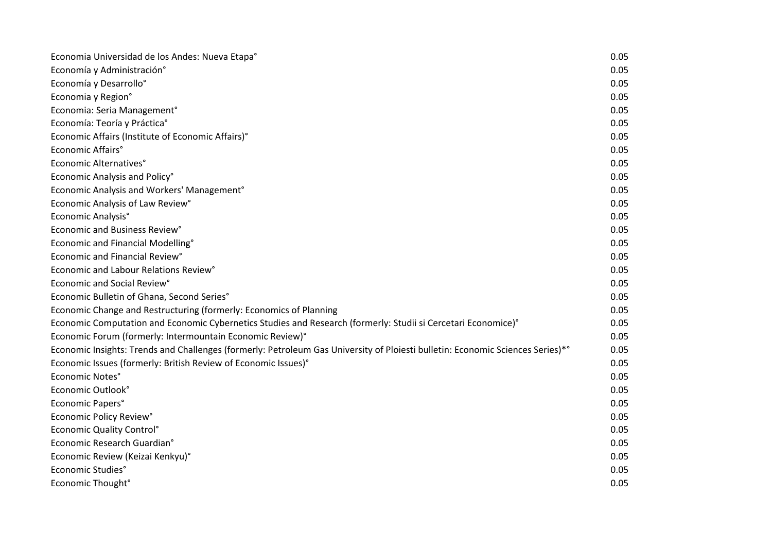| Economia Universidad de los Andes: Nueva Etapa°                                                                                | 0.05 |
|--------------------------------------------------------------------------------------------------------------------------------|------|
| Economía y Administración°                                                                                                     | 0.05 |
| Economía y Desarrollo°                                                                                                         | 0.05 |
| Economia y Region°                                                                                                             | 0.05 |
| Economia: Seria Management°                                                                                                    | 0.05 |
| Economía: Teoría y Práctica°                                                                                                   | 0.05 |
| Economic Affairs (Institute of Economic Affairs)°                                                                              | 0.05 |
| Economic Affairs°                                                                                                              | 0.05 |
| Economic Alternatives°                                                                                                         | 0.05 |
| Economic Analysis and Policy°                                                                                                  | 0.05 |
| Economic Analysis and Workers' Management <sup>®</sup>                                                                         | 0.05 |
| Economic Analysis of Law Review°                                                                                               | 0.05 |
| Economic Analysis°                                                                                                             | 0.05 |
| Economic and Business Review°                                                                                                  | 0.05 |
| Economic and Financial Modelling°                                                                                              | 0.05 |
| Economic and Financial Review°                                                                                                 | 0.05 |
| Economic and Labour Relations Review°                                                                                          | 0.05 |
| Economic and Social Review°                                                                                                    | 0.05 |
| Economic Bulletin of Ghana, Second Series°                                                                                     | 0.05 |
| Economic Change and Restructuring (formerly: Economics of Planning                                                             | 0.05 |
| Economic Computation and Economic Cybernetics Studies and Research (formerly: Studii si Cercetari Economice)°                  | 0.05 |
| Economic Forum (formerly: Intermountain Economic Review)°                                                                      | 0.05 |
| Economic Insights: Trends and Challenges (formerly: Petroleum Gas University of Ploiesti bulletin: Economic Sciences Series)*° | 0.05 |
| Economic Issues (formerly: British Review of Economic Issues)°                                                                 | 0.05 |
| Economic Notes°                                                                                                                | 0.05 |
| Economic Outlook°                                                                                                              | 0.05 |
| Economic Papers°                                                                                                               | 0.05 |
| Economic Policy Review°                                                                                                        | 0.05 |
| <b>Economic Quality Control<sup>°</sup></b>                                                                                    | 0.05 |
| Economic Research Guardian°                                                                                                    | 0.05 |
| Economic Review (Keizai Kenkyu)°                                                                                               | 0.05 |
| Economic Studies°                                                                                                              | 0.05 |
| Economic Thought°                                                                                                              | 0.05 |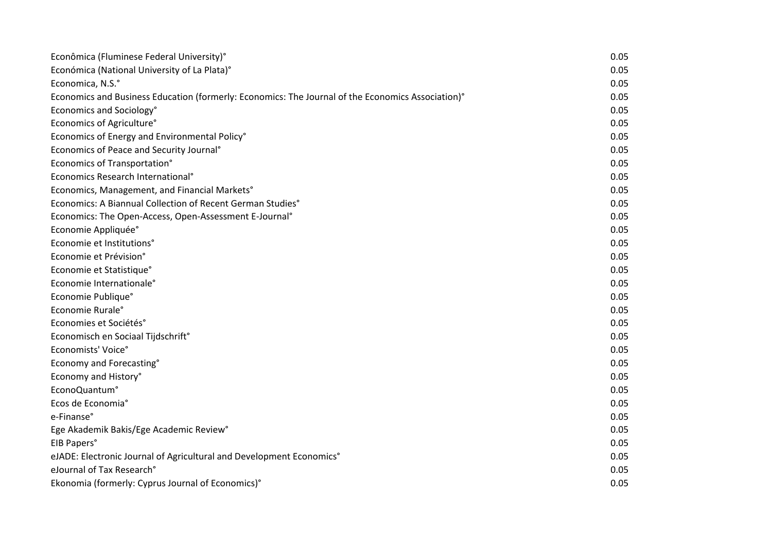| Econômica (Fluminese Federal University)°                                                         | 0.05 |
|---------------------------------------------------------------------------------------------------|------|
| Económica (National University of La Plata)°                                                      | 0.05 |
| Economica, N.S.°                                                                                  | 0.05 |
| Economics and Business Education (formerly: Economics: The Journal of the Economics Association)° | 0.05 |
| Economics and Sociology°                                                                          | 0.05 |
| Economics of Agriculture°                                                                         | 0.05 |
| Economics of Energy and Environmental Policy°                                                     | 0.05 |
| Economics of Peace and Security Journal <sup>®</sup>                                              | 0.05 |
| Economics of Transportation°                                                                      | 0.05 |
| Economics Research International <sup>°</sup>                                                     | 0.05 |
| Economics, Management, and Financial Markets°                                                     | 0.05 |
| Economics: A Biannual Collection of Recent German Studies°                                        | 0.05 |
| Economics: The Open-Access, Open-Assessment E-Journal°                                            | 0.05 |
| Economie Appliquée°                                                                               | 0.05 |
| Economie et Institutions°                                                                         | 0.05 |
| Economie et Prévision°                                                                            | 0.05 |
| Economie et Statistique°                                                                          | 0.05 |
| Economie Internationale°                                                                          | 0.05 |
| Economie Publique°                                                                                | 0.05 |
| Economie Rurale°                                                                                  | 0.05 |
| Economies et Sociétés°                                                                            | 0.05 |
| Economisch en Sociaal Tijdschrift <sup>®</sup>                                                    | 0.05 |
| Economists' Voice°                                                                                | 0.05 |
| Economy and Forecasting°                                                                          | 0.05 |
| Economy and History°                                                                              | 0.05 |
| EconoQuantum°                                                                                     | 0.05 |
| Ecos de Economia°                                                                                 | 0.05 |
| e-Finanse°                                                                                        | 0.05 |
| Ege Akademik Bakis/Ege Academic Review°                                                           | 0.05 |
| EIB Papers°                                                                                       | 0.05 |
| eJADE: Electronic Journal of Agricultural and Development Economics°                              | 0.05 |
| eJournal of Tax Research°                                                                         | 0.05 |
| Ekonomia (formerly: Cyprus Journal of Economics)°                                                 | 0.05 |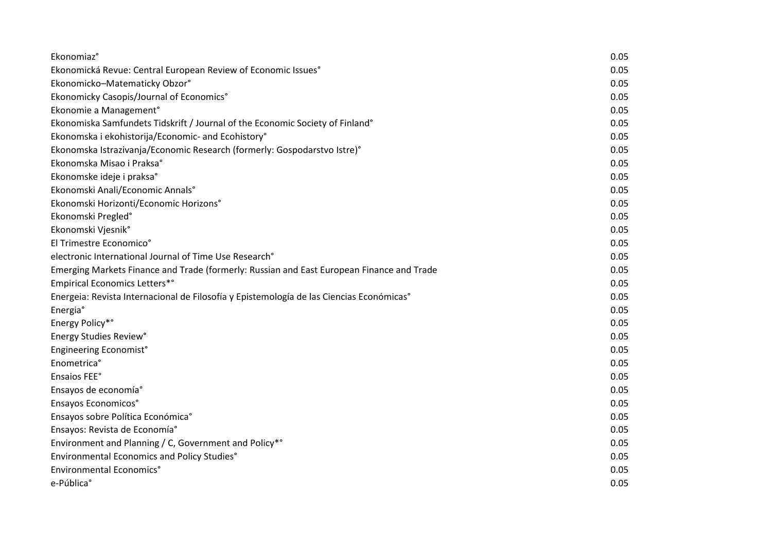| Ekonomiaz°                                                                                | 0.05 |
|-------------------------------------------------------------------------------------------|------|
| Ekonomická Revue: Central European Review of Economic Issues°                             | 0.05 |
| Ekonomicko-Matematicky Obzor°                                                             | 0.05 |
| Ekonomicky Casopis/Journal of Economics°                                                  | 0.05 |
| Ekonomie a Management°                                                                    | 0.05 |
| Ekonomiska Samfundets Tidskrift / Journal of the Economic Society of Finland°             | 0.05 |
| Ekonomska i ekohistorija/Economic- and Ecohistory°                                        | 0.05 |
| Ekonomska Istrazivanja/Economic Research (formerly: Gospodarstvo Istre)°                  | 0.05 |
| Ekonomska Misao i Praksa°                                                                 | 0.05 |
| Ekonomske ideje i praksa°                                                                 | 0.05 |
| Ekonomski Anali/Economic Annals°                                                          | 0.05 |
| Ekonomski Horizonti/Economic Horizons°                                                    | 0.05 |
| Ekonomski Pregled°                                                                        | 0.05 |
| Ekonomski Vjesnik°                                                                        | 0.05 |
| El Trimestre Economico°                                                                   | 0.05 |
| electronic International Journal of Time Use Research°                                    | 0.05 |
| Emerging Markets Finance and Trade (formerly: Russian and East European Finance and Trade | 0.05 |
| <b>Empirical Economics Letters*</b> °                                                     | 0.05 |
| Energeia: Revista Internacional de Filosofía y Epistemología de las Ciencias Económicas°  | 0.05 |
| Energia°                                                                                  | 0.05 |
| Energy Policy*°                                                                           | 0.05 |
| Energy Studies Review°                                                                    | 0.05 |
| Engineering Economist°                                                                    | 0.05 |
| Enometrica°                                                                               | 0.05 |
| Ensaios FEE°                                                                              | 0.05 |
| Ensayos de economía°                                                                      | 0.05 |
| Ensayos Economicos°                                                                       | 0.05 |
| Ensayos sobre Política Económica°                                                         | 0.05 |
| Ensayos: Revista de Economía°                                                             | 0.05 |
| Environment and Planning / C, Government and Policy*°                                     | 0.05 |
| Environmental Economics and Policy Studies°                                               | 0.05 |
| Environmental Economics°                                                                  | 0.05 |
| e-Pública°                                                                                | 0.05 |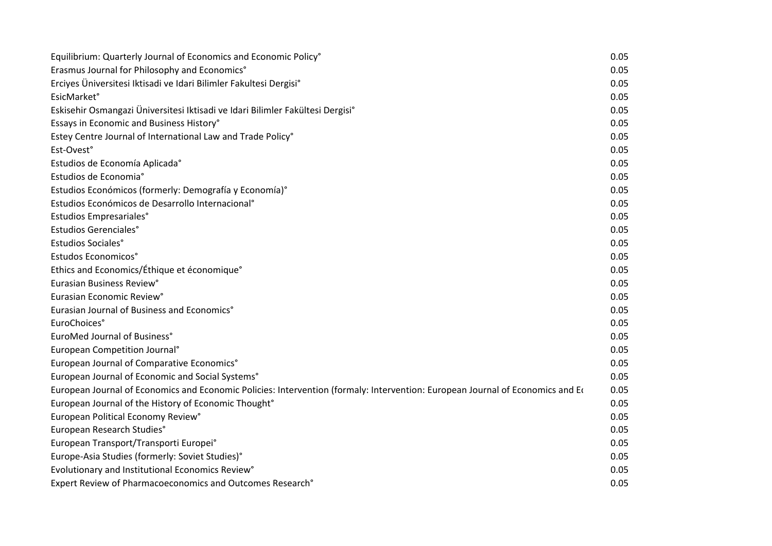| Equilibrium: Quarterly Journal of Economics and Economic Policy°                                                               | 0.05 |
|--------------------------------------------------------------------------------------------------------------------------------|------|
| Erasmus Journal for Philosophy and Economics°                                                                                  | 0.05 |
| Erciyes Üniversitesi Iktisadi ve Idari Bilimler Fakultesi Dergisi°                                                             | 0.05 |
| <b>EsicMarket</b> °                                                                                                            | 0.05 |
| Eskisehir Osmangazi Üniversitesi Iktisadi ve Idari Bilimler Fakültesi Dergisi°                                                 | 0.05 |
| Essays in Economic and Business History°                                                                                       | 0.05 |
| Estey Centre Journal of International Law and Trade Policy°                                                                    | 0.05 |
| Est-Ovest°                                                                                                                     | 0.05 |
| Estudios de Economía Aplicada°                                                                                                 | 0.05 |
| Estudios de Economia°                                                                                                          | 0.05 |
| Estudios Económicos (formerly: Demografía y Economía)°                                                                         | 0.05 |
| Estudios Económicos de Desarrollo Internacional <sup>o</sup>                                                                   | 0.05 |
| Estudios Empresariales°                                                                                                        | 0.05 |
| <b>Estudios Gerenciales°</b>                                                                                                   | 0.05 |
| Estudios Sociales°                                                                                                             | 0.05 |
| Estudos Economicos°                                                                                                            | 0.05 |
| Ethics and Economics/Éthique et économique <sup>®</sup>                                                                        | 0.05 |
| Eurasian Business Review°                                                                                                      | 0.05 |
| Eurasian Economic Review°                                                                                                      | 0.05 |
| Eurasian Journal of Business and Economics°                                                                                    | 0.05 |
| EuroChoices°                                                                                                                   | 0.05 |
| EuroMed Journal of Business°                                                                                                   | 0.05 |
| European Competition Journal <sup>®</sup>                                                                                      | 0.05 |
| European Journal of Comparative Economics°                                                                                     | 0.05 |
| European Journal of Economic and Social Systems°                                                                               | 0.05 |
| European Journal of Economics and Economic Policies: Intervention (formaly: Intervention: European Journal of Economics and Et | 0.05 |
| European Journal of the History of Economic Thought°                                                                           | 0.05 |
| European Political Economy Review°                                                                                             | 0.05 |
| European Research Studies°                                                                                                     | 0.05 |
| European Transport/Transporti Europei°                                                                                         | 0.05 |
| Europe-Asia Studies (formerly: Soviet Studies)°                                                                                | 0.05 |
| Evolutionary and Institutional Economics Review°                                                                               | 0.05 |
| Expert Review of Pharmacoeconomics and Outcomes Research°                                                                      | 0.05 |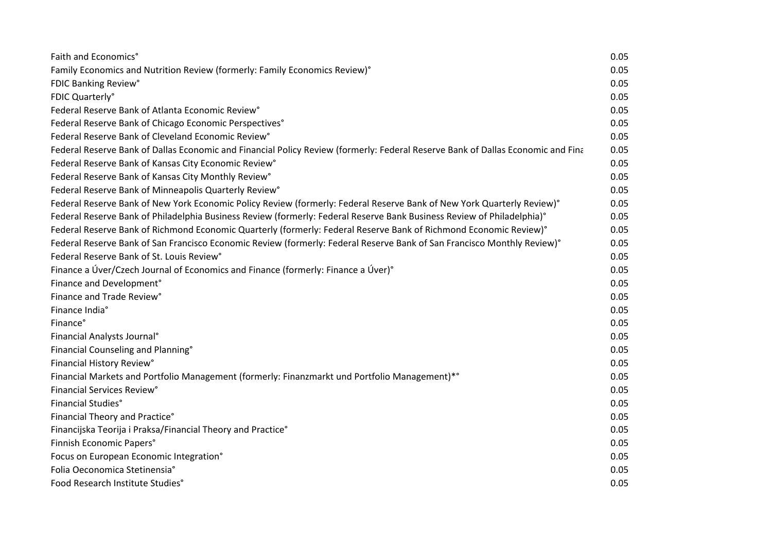| Faith and Economics°                                                                                                            | 0.05 |
|---------------------------------------------------------------------------------------------------------------------------------|------|
| Family Economics and Nutrition Review (formerly: Family Economics Review)°                                                      | 0.05 |
| FDIC Banking Review°                                                                                                            | 0.05 |
| FDIC Quarterly°                                                                                                                 | 0.05 |
| Federal Reserve Bank of Atlanta Economic Review <sup>®</sup>                                                                    | 0.05 |
| Federal Reserve Bank of Chicago Economic Perspectives°                                                                          | 0.05 |
| Federal Reserve Bank of Cleveland Economic Review°                                                                              | 0.05 |
| Federal Reserve Bank of Dallas Economic and Financial Policy Review (formerly: Federal Reserve Bank of Dallas Economic and Fina | 0.05 |
| Federal Reserve Bank of Kansas City Economic Review°                                                                            | 0.05 |
| Federal Reserve Bank of Kansas City Monthly Review°                                                                             | 0.05 |
| Federal Reserve Bank of Minneapolis Quarterly Review°                                                                           | 0.05 |
| Federal Reserve Bank of New York Economic Policy Review (formerly: Federal Reserve Bank of New York Quarterly Review)°          | 0.05 |
| Federal Reserve Bank of Philadelphia Business Review (formerly: Federal Reserve Bank Business Review of Philadelphia)°          | 0.05 |
| Federal Reserve Bank of Richmond Economic Quarterly (formerly: Federal Reserve Bank of Richmond Economic Review)°               | 0.05 |
| Federal Reserve Bank of San Francisco Economic Review (formerly: Federal Reserve Bank of San Francisco Monthly Review)°         | 0.05 |
| Federal Reserve Bank of St. Louis Review°                                                                                       | 0.05 |
| Finance a Úver/Czech Journal of Economics and Finance (formerly: Finance a Úver)°                                               | 0.05 |
| Finance and Development°                                                                                                        | 0.05 |
| Finance and Trade Review°                                                                                                       | 0.05 |
| Finance India°                                                                                                                  | 0.05 |
| Finance°                                                                                                                        | 0.05 |
| Financial Analysts Journal <sup>®</sup>                                                                                         | 0.05 |
| Financial Counseling and Planning°                                                                                              | 0.05 |
| Financial History Review°                                                                                                       | 0.05 |
| Financial Markets and Portfolio Management (formerly: Finanzmarkt und Portfolio Management)*°                                   | 0.05 |
| Financial Services Review°                                                                                                      | 0.05 |
| Financial Studies°                                                                                                              | 0.05 |
| Financial Theory and Practice°                                                                                                  | 0.05 |
| Financijska Teorija i Praksa/Financial Theory and Practice°                                                                     | 0.05 |
| Finnish Economic Papers°                                                                                                        | 0.05 |
| Focus on European Economic Integration°                                                                                         | 0.05 |
| Folia Oeconomica Stetinensia°                                                                                                   | 0.05 |
| Food Research Institute Studies°                                                                                                | 0.05 |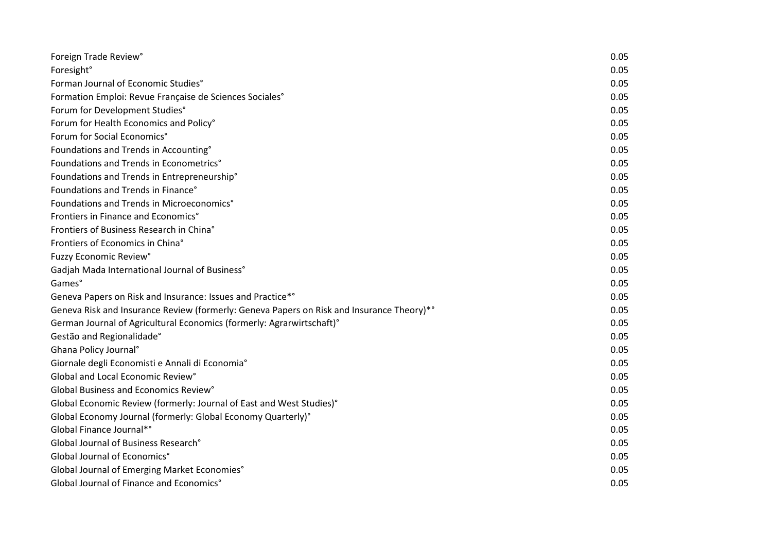| Foreign Trade Review°                                                                     | 0.05 |
|-------------------------------------------------------------------------------------------|------|
| Foresight <sup>°</sup>                                                                    | 0.05 |
| Forman Journal of Economic Studies°                                                       | 0.05 |
| Formation Emploi: Revue Française de Sciences Sociales°                                   | 0.05 |
| Forum for Development Studies°                                                            | 0.05 |
| Forum for Health Economics and Policy°                                                    | 0.05 |
| Forum for Social Economics°                                                               | 0.05 |
| Foundations and Trends in Accounting°                                                     | 0.05 |
| Foundations and Trends in Econometrics°                                                   | 0.05 |
| Foundations and Trends in Entrepreneurship°                                               | 0.05 |
| Foundations and Trends in Finance°                                                        | 0.05 |
| Foundations and Trends in Microeconomics°                                                 | 0.05 |
| Frontiers in Finance and Economics°                                                       | 0.05 |
| Frontiers of Business Research in China°                                                  | 0.05 |
| Frontiers of Economics in China°                                                          | 0.05 |
| Fuzzy Economic Review°                                                                    | 0.05 |
| Gadjah Mada International Journal of Business°                                            | 0.05 |
| Games°                                                                                    | 0.05 |
| Geneva Papers on Risk and Insurance: Issues and Practice*°                                | 0.05 |
| Geneva Risk and Insurance Review (formerly: Geneva Papers on Risk and Insurance Theory)*° | 0.05 |
| German Journal of Agricultural Economics (formerly: Agrarwirtschaft)°                     | 0.05 |
| Gestão and Regionalidade°                                                                 | 0.05 |
| Ghana Policy Journal <sup>°</sup>                                                         | 0.05 |
| Giornale degli Economisti e Annali di Economia°                                           | 0.05 |
| Global and Local Economic Review°                                                         | 0.05 |
| Global Business and Economics Review <sup>o</sup>                                         | 0.05 |
| Global Economic Review (formerly: Journal of East and West Studies)°                      | 0.05 |
| Global Economy Journal (formerly: Global Economy Quarterly)°                              | 0.05 |
| Global Finance Journal*°                                                                  | 0.05 |
| Global Journal of Business Research°                                                      | 0.05 |
| Global Journal of Economics°                                                              | 0.05 |
| Global Journal of Emerging Market Economies°                                              | 0.05 |
| Global Journal of Finance and Economics°                                                  | 0.05 |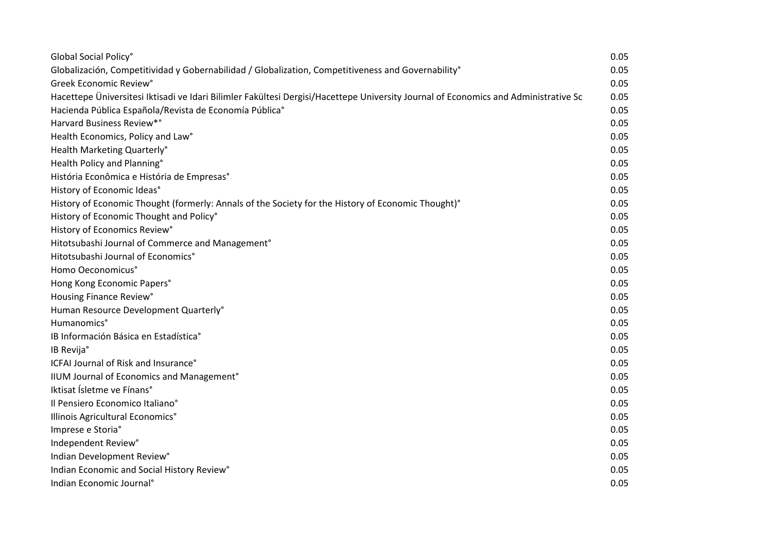| Global Social Policy°                                                                                                               | 0.05 |
|-------------------------------------------------------------------------------------------------------------------------------------|------|
| Globalización, Competitividad y Gobernabilidad / Globalization, Competitiveness and Governability <sup>°</sup>                      | 0.05 |
| Greek Economic Review°                                                                                                              | 0.05 |
| Hacettepe Üniversitesi Iktisadi ve Idari Bilimler Fakültesi Dergisi/Hacettepe University Journal of Economics and Administrative Sc | 0.05 |
| Hacienda Pública Española/Revista de Economía Pública°                                                                              | 0.05 |
| Harvard Business Review*°                                                                                                           | 0.05 |
| Health Economics, Policy and Law°                                                                                                   | 0.05 |
| Health Marketing Quarterly°                                                                                                         | 0.05 |
| Health Policy and Planning°                                                                                                         | 0.05 |
| História Econômica e História de Empresas°                                                                                          | 0.05 |
| History of Economic Ideas°                                                                                                          | 0.05 |
| History of Economic Thought (formerly: Annals of the Society for the History of Economic Thought)°                                  | 0.05 |
| History of Economic Thought and Policy°                                                                                             | 0.05 |
| History of Economics Review°                                                                                                        | 0.05 |
| Hitotsubashi Journal of Commerce and Management°                                                                                    | 0.05 |
| Hitotsubashi Journal of Economics°                                                                                                  | 0.05 |
| Homo Oeconomicus°                                                                                                                   | 0.05 |
| Hong Kong Economic Papers°                                                                                                          | 0.05 |
| Housing Finance Review°                                                                                                             | 0.05 |
| Human Resource Development Quarterly°                                                                                               | 0.05 |
| Humanomics°                                                                                                                         | 0.05 |
| IB Información Básica en Estadística°                                                                                               | 0.05 |
| IB Revija°                                                                                                                          | 0.05 |
| ICFAI Journal of Risk and Insurance°                                                                                                | 0.05 |
| IIUM Journal of Economics and Management°                                                                                           | 0.05 |
| Iktisat Ísletme ve Fínans°                                                                                                          | 0.05 |
| Il Pensiero Economico Italiano°                                                                                                     | 0.05 |
| Illinois Agricultural Economics°                                                                                                    | 0.05 |
| Imprese e Storia°                                                                                                                   | 0.05 |
| Independent Review°                                                                                                                 | 0.05 |
| Indian Development Review°                                                                                                          | 0.05 |
| Indian Economic and Social History Review°                                                                                          | 0.05 |
| Indian Economic Journal <sup>®</sup>                                                                                                | 0.05 |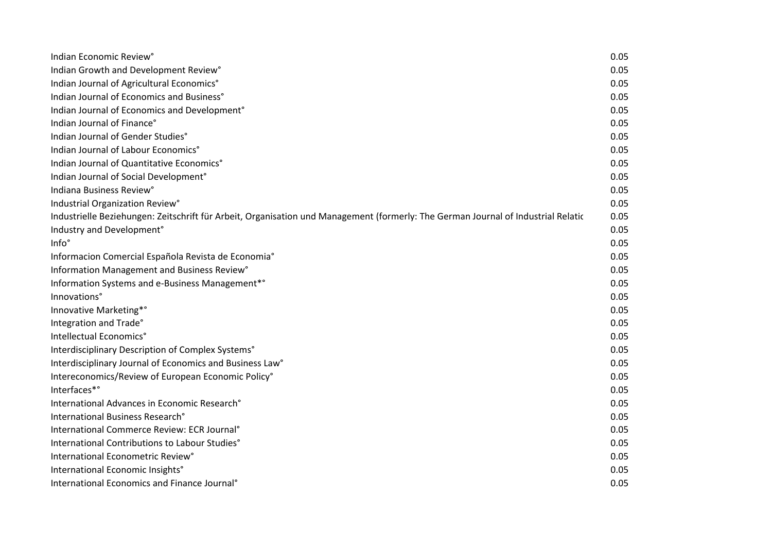| Indian Economic Review°                                                                                                            | 0.05 |
|------------------------------------------------------------------------------------------------------------------------------------|------|
| Indian Growth and Development Review°                                                                                              | 0.05 |
| Indian Journal of Agricultural Economics°                                                                                          | 0.05 |
| Indian Journal of Economics and Business°                                                                                          | 0.05 |
| Indian Journal of Economics and Development°                                                                                       | 0.05 |
| Indian Journal of Finance°                                                                                                         | 0.05 |
| Indian Journal of Gender Studies°                                                                                                  | 0.05 |
| Indian Journal of Labour Economics°                                                                                                | 0.05 |
| Indian Journal of Quantitative Economics°                                                                                          | 0.05 |
| Indian Journal of Social Development°                                                                                              | 0.05 |
| Indiana Business Review°                                                                                                           | 0.05 |
| Industrial Organization Review°                                                                                                    | 0.05 |
| Industrielle Beziehungen: Zeitschrift für Arbeit, Organisation und Management (formerly: The German Journal of Industrial Relation | 0.05 |
| Industry and Development°                                                                                                          | 0.05 |
| Info°                                                                                                                              | 0.05 |
| Informacion Comercial Española Revista de Economia°                                                                                | 0.05 |
| Information Management and Business Review°                                                                                        | 0.05 |
| Information Systems and e-Business Management*°                                                                                    | 0.05 |
| Innovations°                                                                                                                       | 0.05 |
| Innovative Marketing*°                                                                                                             | 0.05 |
| Integration and Trade°                                                                                                             | 0.05 |
| Intellectual Economics°                                                                                                            | 0.05 |
| Interdisciplinary Description of Complex Systems°                                                                                  | 0.05 |
| Interdisciplinary Journal of Economics and Business Law <sup>®</sup>                                                               | 0.05 |
| Intereconomics/Review of European Economic Policy°                                                                                 | 0.05 |
| Interfaces*°                                                                                                                       | 0.05 |
| International Advances in Economic Research°                                                                                       | 0.05 |
| International Business Research°                                                                                                   | 0.05 |
| International Commerce Review: ECR Journal <sup>®</sup>                                                                            | 0.05 |
| International Contributions to Labour Studies°                                                                                     | 0.05 |
| International Econometric Review <sup>®</sup>                                                                                      | 0.05 |
| International Economic Insights°                                                                                                   | 0.05 |
| International Economics and Finance Journal <sup>®</sup>                                                                           | 0.05 |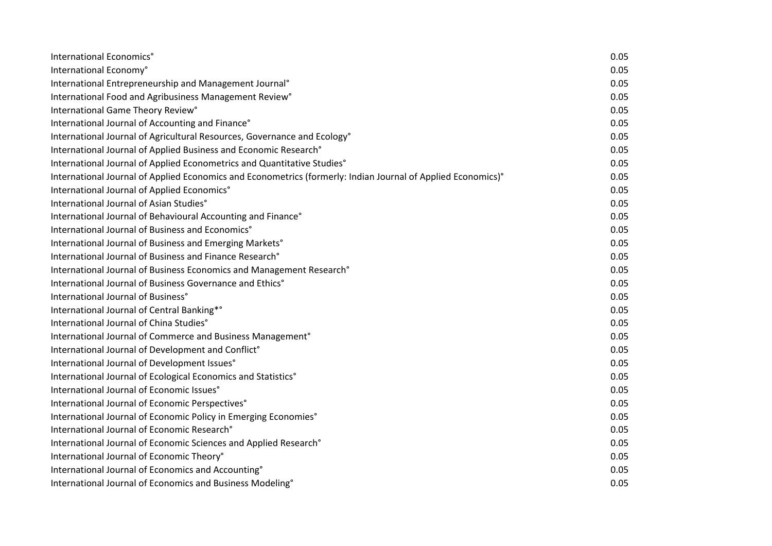| International Economics°                                                                                     | 0.05 |
|--------------------------------------------------------------------------------------------------------------|------|
| International Economy°                                                                                       | 0.05 |
| International Entrepreneurship and Management Journal®                                                       | 0.05 |
| International Food and Agribusiness Management Review°                                                       | 0.05 |
| International Game Theory Review°                                                                            | 0.05 |
| International Journal of Accounting and Finance°                                                             | 0.05 |
| International Journal of Agricultural Resources, Governance and Ecology°                                     | 0.05 |
| International Journal of Applied Business and Economic Research°                                             | 0.05 |
| International Journal of Applied Econometrics and Quantitative Studies°                                      | 0.05 |
| International Journal of Applied Economics and Econometrics (formerly: Indian Journal of Applied Economics)° | 0.05 |
| International Journal of Applied Economics°                                                                  | 0.05 |
| International Journal of Asian Studies°                                                                      | 0.05 |
| International Journal of Behavioural Accounting and Finance°                                                 | 0.05 |
| International Journal of Business and Economics°                                                             | 0.05 |
| International Journal of Business and Emerging Markets°                                                      | 0.05 |
| International Journal of Business and Finance Research°                                                      | 0.05 |
| International Journal of Business Economics and Management Research°                                         | 0.05 |
| International Journal of Business Governance and Ethics°                                                     | 0.05 |
| International Journal of Business°                                                                           | 0.05 |
| International Journal of Central Banking*°                                                                   | 0.05 |
| International Journal of China Studies°                                                                      | 0.05 |
| International Journal of Commerce and Business Management <sup>®</sup>                                       | 0.05 |
| International Journal of Development and Conflict°                                                           | 0.05 |
| International Journal of Development Issues°                                                                 | 0.05 |
| International Journal of Ecological Economics and Statistics°                                                | 0.05 |
| International Journal of Economic Issues°                                                                    | 0.05 |
| International Journal of Economic Perspectives°                                                              | 0.05 |
| International Journal of Economic Policy in Emerging Economies°                                              | 0.05 |
| International Journal of Economic Research°                                                                  | 0.05 |
| International Journal of Economic Sciences and Applied Research°                                             | 0.05 |
| International Journal of Economic Theory°                                                                    | 0.05 |
| International Journal of Economics and Accounting°                                                           | 0.05 |
| International Journal of Economics and Business Modeling°                                                    | 0.05 |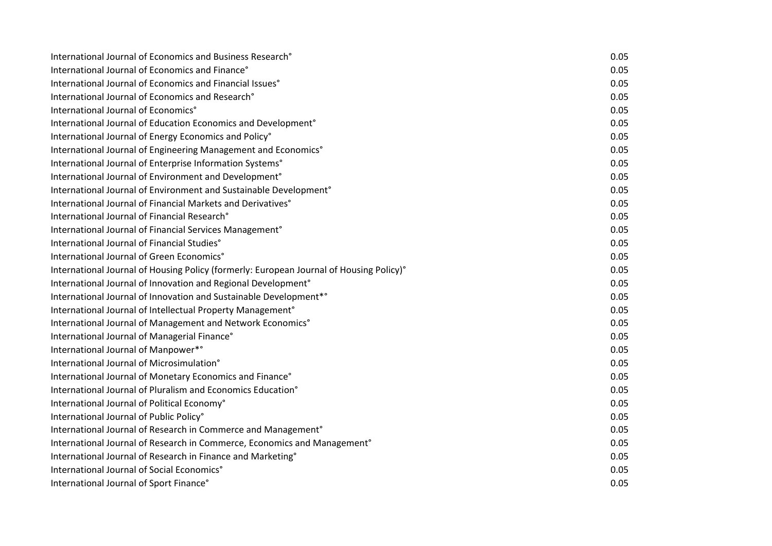| International Journal of Economics and Business Research <sup>°</sup>                   | 0.05 |
|-----------------------------------------------------------------------------------------|------|
| International Journal of Economics and Finance°                                         | 0.05 |
| International Journal of Economics and Financial Issues <sup>®</sup>                    | 0.05 |
| International Journal of Economics and Research°                                        | 0.05 |
| International Journal of Economics°                                                     | 0.05 |
| International Journal of Education Economics and Development <sup>o</sup>               | 0.05 |
| International Journal of Energy Economics and Policy°                                   | 0.05 |
| International Journal of Engineering Management and Economics°                          | 0.05 |
| International Journal of Enterprise Information Systems°                                | 0.05 |
| International Journal of Environment and Development°                                   | 0.05 |
| International Journal of Environment and Sustainable Development <sup>®</sup>           | 0.05 |
| International Journal of Financial Markets and Derivatives <sup>®</sup>                 | 0.05 |
| International Journal of Financial Research°                                            | 0.05 |
| International Journal of Financial Services Management <sup>®</sup>                     | 0.05 |
| International Journal of Financial Studies°                                             | 0.05 |
| International Journal of Green Economics°                                               | 0.05 |
| International Journal of Housing Policy (formerly: European Journal of Housing Policy)° | 0.05 |
| International Journal of Innovation and Regional Development <sup>®</sup>               | 0.05 |
| International Journal of Innovation and Sustainable Development*°                       | 0.05 |
| International Journal of Intellectual Property Management°                              | 0.05 |
| International Journal of Management and Network Economics°                              | 0.05 |
| International Journal of Managerial Finance°                                            | 0.05 |
| International Journal of Manpower*°                                                     | 0.05 |
| International Journal of Microsimulation°                                               | 0.05 |
| International Journal of Monetary Economics and Finance°                                | 0.05 |
| International Journal of Pluralism and Economics Education°                             | 0.05 |
| International Journal of Political Economy°                                             | 0.05 |
| International Journal of Public Policy°                                                 | 0.05 |
| International Journal of Research in Commerce and Management°                           | 0.05 |
| International Journal of Research in Commerce, Economics and Management <sup>o</sup>    | 0.05 |
| International Journal of Research in Finance and Marketing°                             | 0.05 |
| International Journal of Social Economics°                                              | 0.05 |
| International Journal of Sport Finance°                                                 | 0.05 |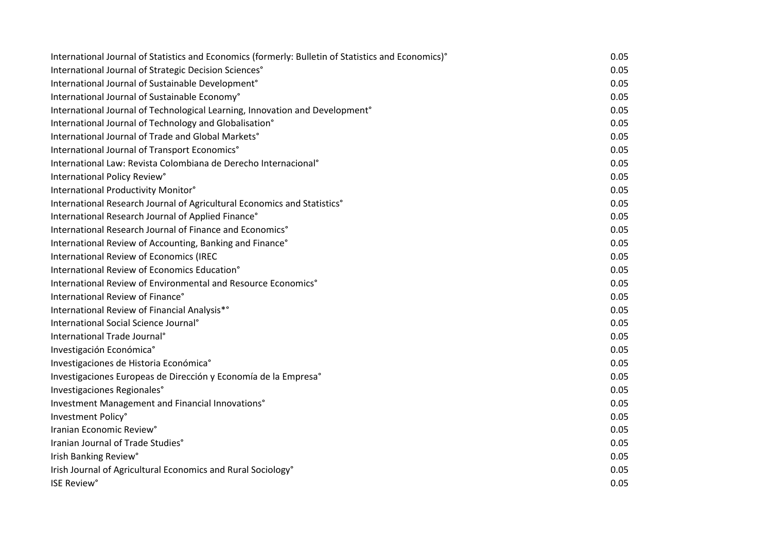| International Journal of Statistics and Economics (formerly: Bulletin of Statistics and Economics)° | 0.05 |
|-----------------------------------------------------------------------------------------------------|------|
| International Journal of Strategic Decision Sciences°                                               | 0.05 |
| International Journal of Sustainable Development <sup>®</sup>                                       | 0.05 |
| International Journal of Sustainable Economy°                                                       | 0.05 |
| International Journal of Technological Learning, Innovation and Development <sup>o</sup>            | 0.05 |
| International Journal of Technology and Globalisation°                                              | 0.05 |
| International Journal of Trade and Global Markets°                                                  | 0.05 |
| International Journal of Transport Economics°                                                       | 0.05 |
| International Law: Revista Colombiana de Derecho Internacional <sup>®</sup>                         | 0.05 |
| International Policy Review°                                                                        | 0.05 |
| International Productivity Monitor°                                                                 | 0.05 |
| International Research Journal of Agricultural Economics and Statistics°                            | 0.05 |
| International Research Journal of Applied Finance°                                                  | 0.05 |
| International Research Journal of Finance and Economics°                                            | 0.05 |
| International Review of Accounting, Banking and Finance°                                            | 0.05 |
| International Review of Economics (IREC                                                             | 0.05 |
| International Review of Economics Education°                                                        | 0.05 |
| International Review of Environmental and Resource Economics°                                       | 0.05 |
| International Review of Finance°                                                                    | 0.05 |
| International Review of Financial Analysis*°                                                        | 0.05 |
| International Social Science Journal <sup>®</sup>                                                   | 0.05 |
| International Trade Journal <sup>®</sup>                                                            | 0.05 |
| Investigación Económica°                                                                            | 0.05 |
| Investigaciones de Historia Económica°                                                              | 0.05 |
| Investigaciones Europeas de Dirección y Economía de la Empresa°                                     | 0.05 |
| Investigaciones Regionales°                                                                         | 0.05 |
| Investment Management and Financial Innovations°                                                    | 0.05 |
| Investment Policy°                                                                                  | 0.05 |
| Iranian Economic Review°                                                                            | 0.05 |
| Iranian Journal of Trade Studies°                                                                   | 0.05 |
| Irish Banking Review°                                                                               | 0.05 |
| Irish Journal of Agricultural Economics and Rural Sociology°                                        | 0.05 |
| <b>ISE Review°</b>                                                                                  | 0.05 |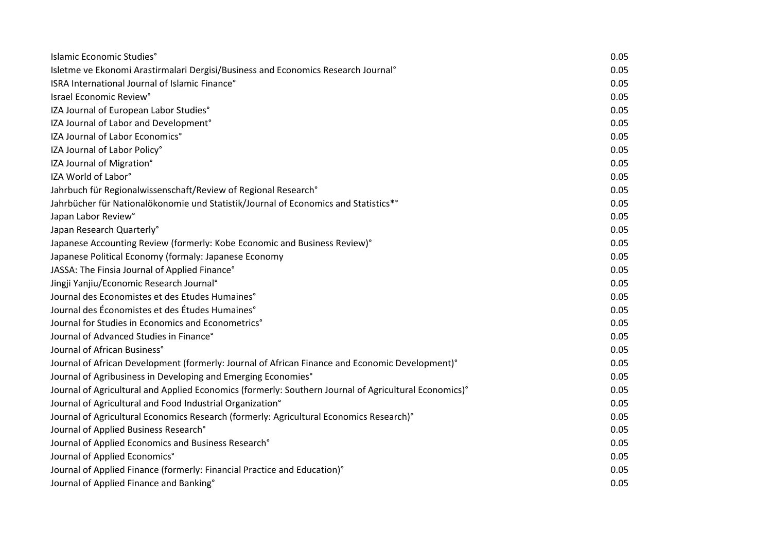| Islamic Economic Studies°                                                                             | 0.05 |
|-------------------------------------------------------------------------------------------------------|------|
| Isletme ve Ekonomi Arastirmalari Dergisi/Business and Economics Research Journal <sup>o</sup>         | 0.05 |
| ISRA International Journal of Islamic Finance°                                                        | 0.05 |
| Israel Economic Review°                                                                               | 0.05 |
| IZA Journal of European Labor Studies°                                                                | 0.05 |
| IZA Journal of Labor and Development°                                                                 | 0.05 |
| IZA Journal of Labor Economics°                                                                       | 0.05 |
| IZA Journal of Labor Policy°                                                                          | 0.05 |
| IZA Journal of Migration°                                                                             | 0.05 |
| IZA World of Labor°                                                                                   | 0.05 |
| Jahrbuch für Regionalwissenschaft/Review of Regional Research°                                        | 0.05 |
| Jahrbücher für Nationalökonomie und Statistik/Journal of Economics and Statistics*°                   | 0.05 |
| Japan Labor Review°                                                                                   | 0.05 |
| Japan Research Quarterly°                                                                             | 0.05 |
| Japanese Accounting Review (formerly: Kobe Economic and Business Review)°                             | 0.05 |
| Japanese Political Economy (formaly: Japanese Economy                                                 | 0.05 |
| JASSA: The Finsia Journal of Applied Finance°                                                         | 0.05 |
| Jingji Yanjiu/Economic Research Journal°                                                              | 0.05 |
| Journal des Economistes et des Etudes Humaines°                                                       | 0.05 |
| Journal des Économistes et des Études Humaines°                                                       | 0.05 |
| Journal for Studies in Economics and Econometrics <sup>®</sup>                                        | 0.05 |
| Journal of Advanced Studies in Finance°                                                               | 0.05 |
| Journal of African Business°                                                                          | 0.05 |
| Journal of African Development (formerly: Journal of African Finance and Economic Development)°       | 0.05 |
| Journal of Agribusiness in Developing and Emerging Economies°                                         | 0.05 |
| Journal of Agricultural and Applied Economics (formerly: Southern Journal of Agricultural Economics)° | 0.05 |
| Journal of Agricultural and Food Industrial Organization°                                             | 0.05 |
| Journal of Agricultural Economics Research (formerly: Agricultural Economics Research)°               | 0.05 |
| Journal of Applied Business Research°                                                                 | 0.05 |
| Journal of Applied Economics and Business Research°                                                   | 0.05 |
| Journal of Applied Economics°                                                                         | 0.05 |
| Journal of Applied Finance (formerly: Financial Practice and Education)°                              | 0.05 |
| Journal of Applied Finance and Banking°                                                               | 0.05 |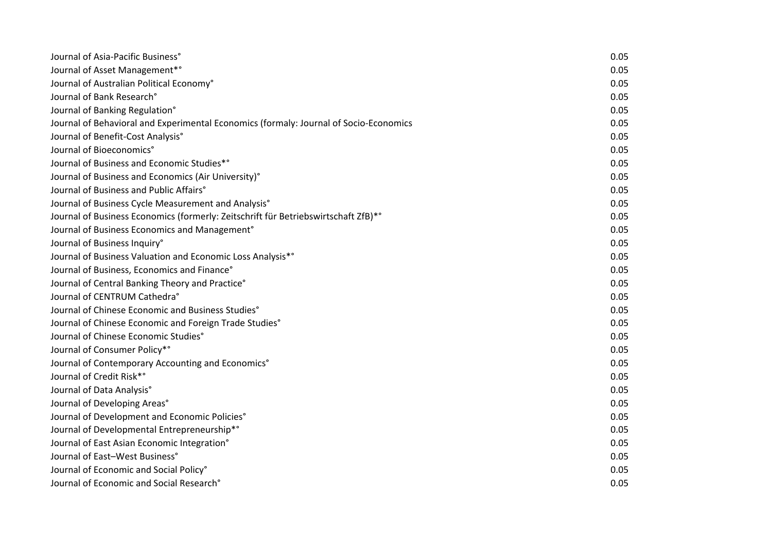| Journal of Asia-Pacific Business°                                                     | 0.05 |
|---------------------------------------------------------------------------------------|------|
| Journal of Asset Management*°                                                         | 0.05 |
| Journal of Australian Political Economy°                                              | 0.05 |
| Journal of Bank Research°                                                             | 0.05 |
| Journal of Banking Regulation°                                                        | 0.05 |
| Journal of Behavioral and Experimental Economics (formaly: Journal of Socio-Economics | 0.05 |
| Journal of Benefit-Cost Analysis°                                                     | 0.05 |
| Journal of Bioeconomics°                                                              | 0.05 |
| Journal of Business and Economic Studies*°                                            | 0.05 |
| Journal of Business and Economics (Air University)°                                   | 0.05 |
| Journal of Business and Public Affairs°                                               | 0.05 |
| Journal of Business Cycle Measurement and Analysis°                                   | 0.05 |
| Journal of Business Economics (formerly: Zeitschrift für Betriebswirtschaft ZfB)*°    | 0.05 |
| Journal of Business Economics and Management <sup>o</sup>                             | 0.05 |
| Journal of Business Inquiry°                                                          | 0.05 |
| Journal of Business Valuation and Economic Loss Analysis*°                            | 0.05 |
| Journal of Business, Economics and Finance°                                           | 0.05 |
| Journal of Central Banking Theory and Practice°                                       | 0.05 |
| Journal of CENTRUM Cathedra°                                                          | 0.05 |
| Journal of Chinese Economic and Business Studies°                                     | 0.05 |
| Journal of Chinese Economic and Foreign Trade Studies°                                | 0.05 |
| Journal of Chinese Economic Studies°                                                  | 0.05 |
| Journal of Consumer Policy*°                                                          | 0.05 |
| Journal of Contemporary Accounting and Economics°                                     | 0.05 |
| Journal of Credit Risk*°                                                              | 0.05 |
| Journal of Data Analysis°                                                             | 0.05 |
| Journal of Developing Areas°                                                          | 0.05 |
| Journal of Development and Economic Policies°                                         | 0.05 |
| Journal of Developmental Entrepreneurship*°                                           | 0.05 |
| Journal of East Asian Economic Integration°                                           | 0.05 |
| Journal of East-West Business°                                                        | 0.05 |
| Journal of Economic and Social Policy°                                                | 0.05 |
| Journal of Economic and Social Research°                                              | 0.05 |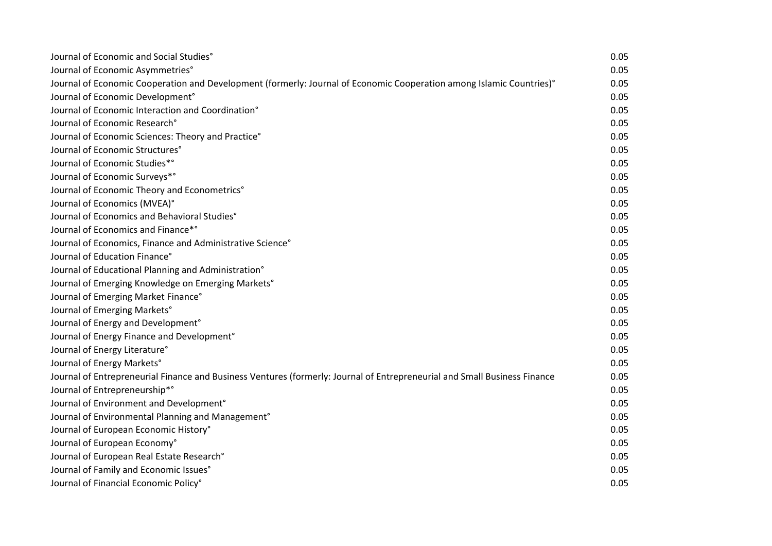| Journal of Economic and Social Studies°                                                                                   | 0.05 |
|---------------------------------------------------------------------------------------------------------------------------|------|
| Journal of Economic Asymmetries°                                                                                          | 0.05 |
| Journal of Economic Cooperation and Development (formerly: Journal of Economic Cooperation among Islamic Countries)°      | 0.05 |
| Journal of Economic Development°                                                                                          | 0.05 |
| Journal of Economic Interaction and Coordination°                                                                         | 0.05 |
| Journal of Economic Research°                                                                                             | 0.05 |
| Journal of Economic Sciences: Theory and Practice°                                                                        | 0.05 |
| Journal of Economic Structures°                                                                                           | 0.05 |
| Journal of Economic Studies*°                                                                                             | 0.05 |
| Journal of Economic Surveys*°                                                                                             | 0.05 |
| Journal of Economic Theory and Econometrics°                                                                              | 0.05 |
| Journal of Economics (MVEA)°                                                                                              | 0.05 |
| Journal of Economics and Behavioral Studies°                                                                              | 0.05 |
| Journal of Economics and Finance*°                                                                                        | 0.05 |
| Journal of Economics, Finance and Administrative Science°                                                                 | 0.05 |
| Journal of Education Finance°                                                                                             | 0.05 |
| Journal of Educational Planning and Administration°                                                                       | 0.05 |
| Journal of Emerging Knowledge on Emerging Markets°                                                                        | 0.05 |
| Journal of Emerging Market Finance°                                                                                       | 0.05 |
| Journal of Emerging Markets°                                                                                              | 0.05 |
| Journal of Energy and Development°                                                                                        | 0.05 |
| Journal of Energy Finance and Development°                                                                                | 0.05 |
| Journal of Energy Literature°                                                                                             | 0.05 |
| Journal of Energy Markets°                                                                                                | 0.05 |
| Journal of Entrepreneurial Finance and Business Ventures (formerly: Journal of Entrepreneurial and Small Business Finance | 0.05 |
| Journal of Entrepreneurship*°                                                                                             | 0.05 |
| Journal of Environment and Development°                                                                                   | 0.05 |
| Journal of Environmental Planning and Management°                                                                         | 0.05 |
| Journal of European Economic History°                                                                                     | 0.05 |
| Journal of European Economy°                                                                                              | 0.05 |
| Journal of European Real Estate Research°                                                                                 | 0.05 |
| Journal of Family and Economic Issues°                                                                                    | 0.05 |
| Journal of Financial Economic Policy°                                                                                     | 0.05 |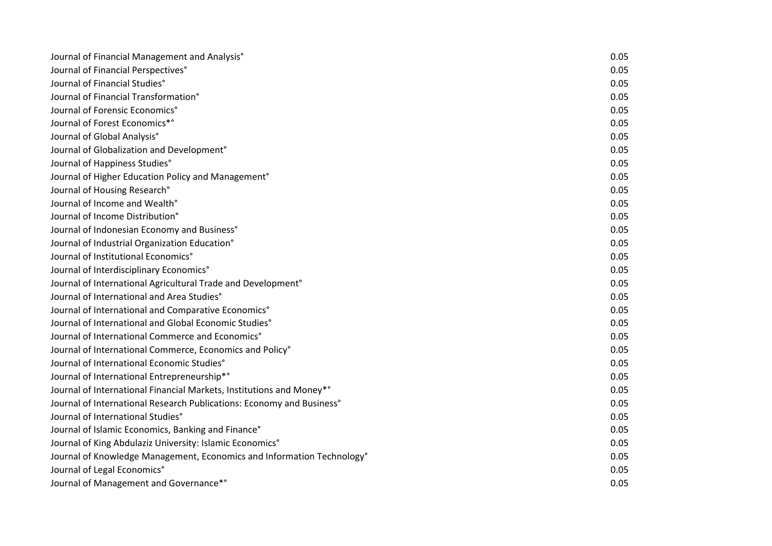| Journal of Financial Management and Analysis°                            | 0.05 |
|--------------------------------------------------------------------------|------|
| Journal of Financial Perspectives°                                       | 0.05 |
| Journal of Financial Studies°                                            | 0.05 |
| Journal of Financial Transformation°                                     | 0.05 |
| Journal of Forensic Economics°                                           | 0.05 |
| Journal of Forest Economics*°                                            | 0.05 |
| Journal of Global Analysis°                                              | 0.05 |
| Journal of Globalization and Development°                                | 0.05 |
| Journal of Happiness Studies°                                            | 0.05 |
| Journal of Higher Education Policy and Management°                       | 0.05 |
| Journal of Housing Research°                                             | 0.05 |
| Journal of Income and Wealth°                                            | 0.05 |
| Journal of Income Distribution°                                          | 0.05 |
| Journal of Indonesian Economy and Business°                              | 0.05 |
| Journal of Industrial Organization Education°                            | 0.05 |
| Journal of Institutional Economics°                                      | 0.05 |
| Journal of Interdisciplinary Economics°                                  | 0.05 |
| Journal of International Agricultural Trade and Development <sup>®</sup> | 0.05 |
| Journal of International and Area Studies°                               | 0.05 |
| Journal of International and Comparative Economics°                      | 0.05 |
| Journal of International and Global Economic Studies°                    | 0.05 |
| Journal of International Commerce and Economics°                         | 0.05 |
| Journal of International Commerce, Economics and Policy°                 | 0.05 |
| Journal of International Economic Studies°                               | 0.05 |
| Journal of International Entrepreneurship*°                              | 0.05 |
| Journal of International Financial Markets, Institutions and Money*°     | 0.05 |
| Journal of International Research Publications: Economy and Business°    | 0.05 |
| Journal of International Studies°                                        | 0.05 |
| Journal of Islamic Economics, Banking and Finance°                       | 0.05 |
| Journal of King Abdulaziz University: Islamic Economics°                 | 0.05 |
| Journal of Knowledge Management, Economics and Information Technology°   | 0.05 |
| Journal of Legal Economics°                                              | 0.05 |
| Journal of Management and Governance*°                                   | 0.05 |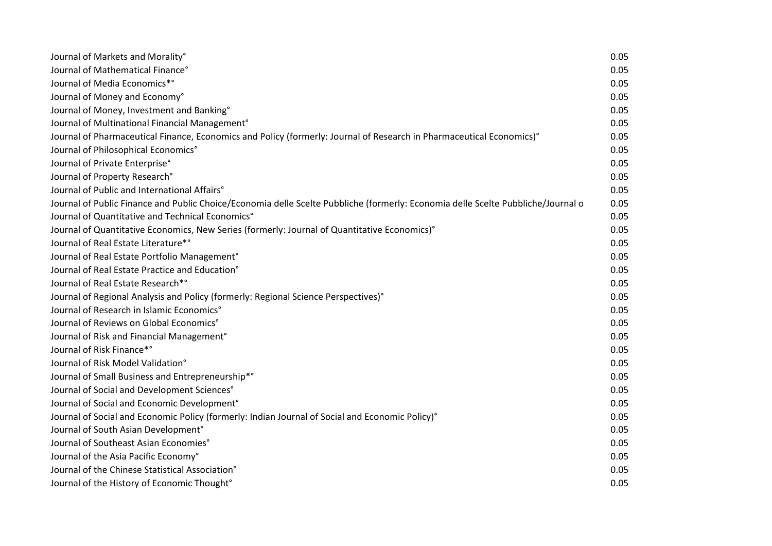| Journal of Markets and Morality°                                                                                                 | 0.05 |
|----------------------------------------------------------------------------------------------------------------------------------|------|
| Journal of Mathematical Finance°                                                                                                 | 0.05 |
| Journal of Media Economics*°                                                                                                     | 0.05 |
| Journal of Money and Economy°                                                                                                    | 0.05 |
| Journal of Money, Investment and Banking°                                                                                        | 0.05 |
| Journal of Multinational Financial Management <sup>°</sup>                                                                       | 0.05 |
| Journal of Pharmaceutical Finance, Economics and Policy (formerly: Journal of Research in Pharmaceutical Economics)°             | 0.05 |
| Journal of Philosophical Economics°                                                                                              | 0.05 |
| Journal of Private Enterprise°                                                                                                   | 0.05 |
| Journal of Property Research°                                                                                                    | 0.05 |
| Journal of Public and International Affairs°                                                                                     | 0.05 |
| Journal of Public Finance and Public Choice/Economia delle Scelte Pubbliche (formerly: Economia delle Scelte Pubbliche/Journal o | 0.05 |
| Journal of Quantitative and Technical Economics <sup>®</sup>                                                                     | 0.05 |
| Journal of Quantitative Economics, New Series (formerly: Journal of Quantitative Economics)°                                     | 0.05 |
| Journal of Real Estate Literature*°                                                                                              | 0.05 |
| Journal of Real Estate Portfolio Management <sup>®</sup>                                                                         | 0.05 |
| Journal of Real Estate Practice and Education°                                                                                   | 0.05 |
| Journal of Real Estate Research*°                                                                                                | 0.05 |
| Journal of Regional Analysis and Policy (formerly: Regional Science Perspectives)°                                               | 0.05 |
| Journal of Research in Islamic Economics°                                                                                        | 0.05 |
| Journal of Reviews on Global Economics°                                                                                          | 0.05 |
| Journal of Risk and Financial Management <sup>®</sup>                                                                            | 0.05 |
| Journal of Risk Finance*°                                                                                                        | 0.05 |
| Journal of Risk Model Validation°                                                                                                | 0.05 |
| Journal of Small Business and Entrepreneurship*°                                                                                 | 0.05 |
| Journal of Social and Development Sciences°                                                                                      | 0.05 |
| Journal of Social and Economic Development°                                                                                      | 0.05 |
| Journal of Social and Economic Policy (formerly: Indian Journal of Social and Economic Policy)°                                  | 0.05 |
| Journal of South Asian Development°                                                                                              | 0.05 |
| Journal of Southeast Asian Economies°                                                                                            | 0.05 |
| Journal of the Asia Pacific Economy°                                                                                             | 0.05 |
| Journal of the Chinese Statistical Association°                                                                                  | 0.05 |
| Journal of the History of Economic Thought°                                                                                      | 0.05 |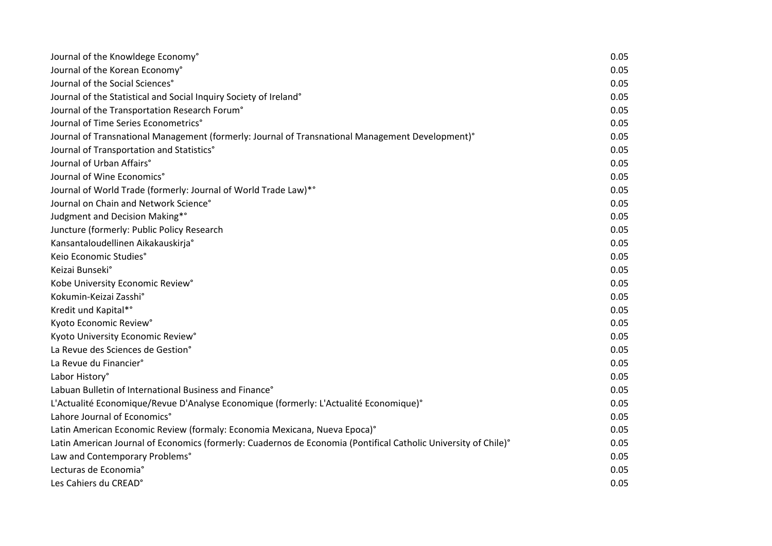| Journal of the Knowldege Economy°                                                                               | 0.05 |
|-----------------------------------------------------------------------------------------------------------------|------|
| Journal of the Korean Economy°                                                                                  | 0.05 |
| Journal of the Social Sciences°                                                                                 | 0.05 |
| Journal of the Statistical and Social Inquiry Society of Ireland°                                               | 0.05 |
| Journal of the Transportation Research Forum°                                                                   | 0.05 |
| Journal of Time Series Econometrics°                                                                            | 0.05 |
| Journal of Transnational Management (formerly: Journal of Transnational Management Development)°                | 0.05 |
| Journal of Transportation and Statistics°                                                                       | 0.05 |
| Journal of Urban Affairs°                                                                                       | 0.05 |
| Journal of Wine Economics°                                                                                      | 0.05 |
| Journal of World Trade (formerly: Journal of World Trade Law)*°                                                 | 0.05 |
| Journal on Chain and Network Science°                                                                           | 0.05 |
| Judgment and Decision Making*°                                                                                  | 0.05 |
| Juncture (formerly: Public Policy Research                                                                      | 0.05 |
| Kansantaloudellinen Aikakauskirja°                                                                              | 0.05 |
| Keio Economic Studies°                                                                                          | 0.05 |
| Keizai Bunseki°                                                                                                 | 0.05 |
| Kobe University Economic Review°                                                                                | 0.05 |
| Kokumin-Keizai Zasshi°                                                                                          | 0.05 |
| Kredit und Kapital*°                                                                                            | 0.05 |
| Kyoto Economic Review°                                                                                          | 0.05 |
| Kyoto University Economic Review°                                                                               | 0.05 |
| La Revue des Sciences de Gestion°                                                                               | 0.05 |
| La Revue du Financier°                                                                                          | 0.05 |
| Labor History°                                                                                                  | 0.05 |
| Labuan Bulletin of International Business and Finance <sup>®</sup>                                              | 0.05 |
| L'Actualité Economique/Revue D'Analyse Economique (formerly: L'Actualité Economique)°                           | 0.05 |
| Lahore Journal of Economics°                                                                                    | 0.05 |
| Latin American Economic Review (formaly: Economia Mexicana, Nueva Epoca)°                                       | 0.05 |
| Latin American Journal of Economics (formerly: Cuadernos de Economia (Pontifical Catholic University of Chile)° | 0.05 |
| Law and Contemporary Problems°                                                                                  | 0.05 |
| Lecturas de Economia°                                                                                           | 0.05 |
| Les Cahiers du CREAD°                                                                                           | 0.05 |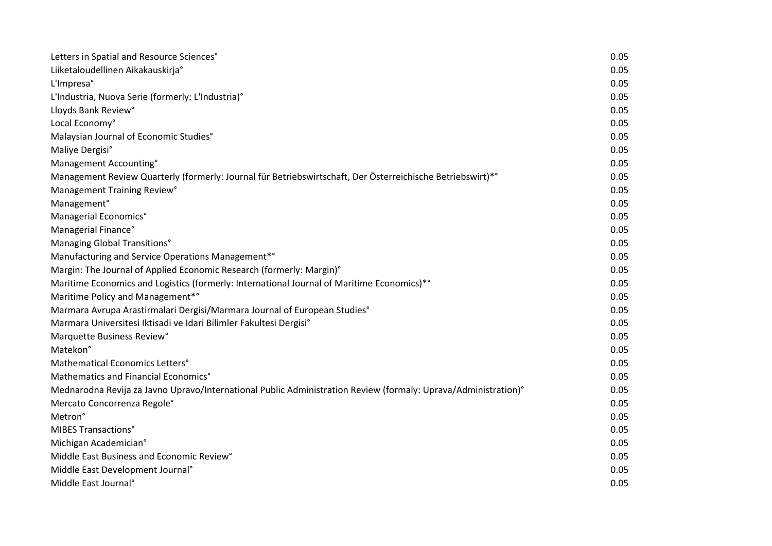| Letters in Spatial and Resource Sciences°                                                                      | 0.05 |
|----------------------------------------------------------------------------------------------------------------|------|
| Liiketaloudellinen Aikakauskirja°                                                                              | 0.05 |
| L'Impresa°                                                                                                     | 0.05 |
| L'Industria, Nuova Serie (formerly: L'Industria)°                                                              | 0.05 |
| Lloyds Bank Review°                                                                                            | 0.05 |
| Local Economy°                                                                                                 | 0.05 |
| Malaysian Journal of Economic Studies°                                                                         | 0.05 |
| Maliye Dergisi°                                                                                                | 0.05 |
| Management Accounting°                                                                                         | 0.05 |
| Management Review Quarterly (formerly: Journal für Betriebswirtschaft, Der Österreichische Betriebswirt)*°     | 0.05 |
| Management Training Review°                                                                                    | 0.05 |
| Management°                                                                                                    | 0.05 |
| Managerial Economics°                                                                                          | 0.05 |
| Managerial Finance°                                                                                            | 0.05 |
| Managing Global Transitions°                                                                                   | 0.05 |
| Manufacturing and Service Operations Management*°                                                              | 0.05 |
| Margin: The Journal of Applied Economic Research (formerly: Margin)°                                           | 0.05 |
| Maritime Economics and Logistics (formerly: International Journal of Maritime Economics)*°                     | 0.05 |
| Maritime Policy and Management*°                                                                               | 0.05 |
| Marmara Avrupa Arastirmalari Dergisi/Marmara Journal of European Studies°                                      | 0.05 |
| Marmara Universitesi Iktisadi ve Idari Bilimler Fakultesi Dergisi°                                             | 0.05 |
| Marquette Business Review°                                                                                     | 0.05 |
| Matekon°                                                                                                       | 0.05 |
| Mathematical Economics Letters°                                                                                | 0.05 |
| Mathematics and Financial Economics°                                                                           | 0.05 |
| Mednarodna Revija za Javno Upravo/International Public Administration Review (formaly: Uprava/Administration)° | 0.05 |
| Mercato Concorrenza Regole°                                                                                    | 0.05 |
| Metron <sup>°</sup>                                                                                            | 0.05 |
| <b>MIBES Transactions°</b>                                                                                     | 0.05 |
| Michigan Academician°                                                                                          | 0.05 |
| Middle East Business and Economic Review <sup>°</sup>                                                          | 0.05 |
| Middle East Development Journal <sup>®</sup>                                                                   | 0.05 |
| Middle East Journal <sup>®</sup>                                                                               | 0.05 |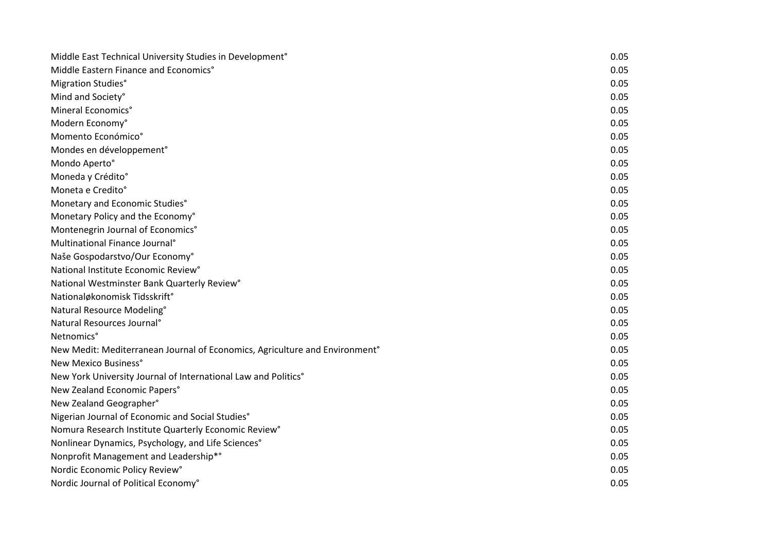| Middle East Technical University Studies in Development°                                | 0.05 |
|-----------------------------------------------------------------------------------------|------|
| Middle Eastern Finance and Economics°                                                   | 0.05 |
| Migration Studies°                                                                      | 0.05 |
| Mind and Society°                                                                       | 0.05 |
| Mineral Economics <sup>°</sup>                                                          | 0.05 |
| Modern Economy°                                                                         | 0.05 |
| Momento Económico°                                                                      | 0.05 |
| Mondes en développement°                                                                | 0.05 |
| Mondo Aperto°                                                                           | 0.05 |
| Moneda y Crédito°                                                                       | 0.05 |
| Moneta e Credito°                                                                       | 0.05 |
| Monetary and Economic Studies°                                                          | 0.05 |
| Monetary Policy and the Economy°                                                        | 0.05 |
| Montenegrin Journal of Economics°                                                       | 0.05 |
| Multinational Finance Journal <sup>®</sup>                                              | 0.05 |
| Naše Gospodarstvo/Our Economy°                                                          | 0.05 |
| National Institute Economic Review°                                                     | 0.05 |
| National Westminster Bank Quarterly Review°                                             | 0.05 |
| Nationaløkonomisk Tidsskrift <sup>o</sup>                                               | 0.05 |
| Natural Resource Modeling°                                                              | 0.05 |
| Natural Resources Journal <sup>®</sup>                                                  | 0.05 |
| Netnomics°                                                                              | 0.05 |
| New Medit: Mediterranean Journal of Economics, Agriculture and Environment <sup>®</sup> | 0.05 |
| New Mexico Business°                                                                    | 0.05 |
| New York University Journal of International Law and Politics°                          | 0.05 |
| New Zealand Economic Papers°                                                            | 0.05 |
| New Zealand Geographer°                                                                 | 0.05 |
| Nigerian Journal of Economic and Social Studies°                                        | 0.05 |
| Nomura Research Institute Quarterly Economic Review°                                    | 0.05 |
| Nonlinear Dynamics, Psychology, and Life Sciences°                                      | 0.05 |
| Nonprofit Management and Leadership*°                                                   | 0.05 |
| Nordic Economic Policy Review°                                                          | 0.05 |
| Nordic Journal of Political Economy°                                                    | 0.05 |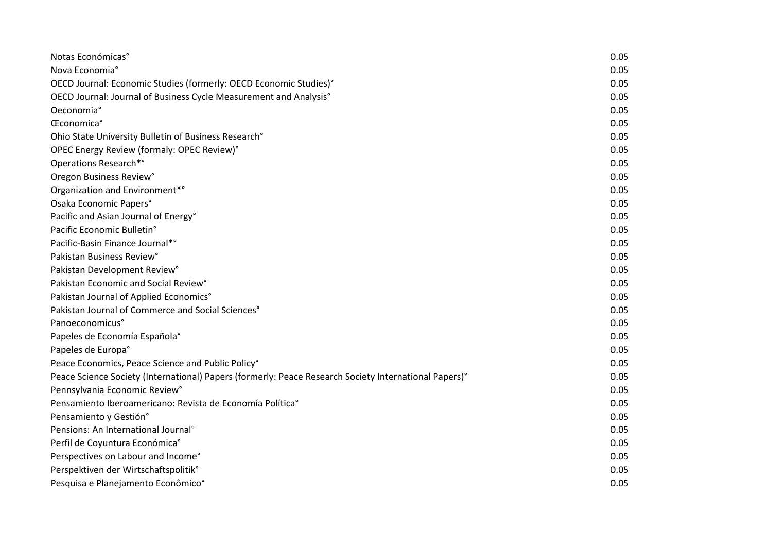| Notas Económicas <sup>°</sup>                                                                         | 0.05 |
|-------------------------------------------------------------------------------------------------------|------|
| Nova Economia°                                                                                        | 0.05 |
| OECD Journal: Economic Studies (formerly: OECD Economic Studies)°                                     | 0.05 |
| OECD Journal: Journal of Business Cycle Measurement and Analysis°                                     | 0.05 |
| Oeconomia°                                                                                            | 0.05 |
| Œconomica°                                                                                            | 0.05 |
| Ohio State University Bulletin of Business Research°                                                  | 0.05 |
| OPEC Energy Review (formaly: OPEC Review)°                                                            | 0.05 |
| Operations Research*°                                                                                 | 0.05 |
| Oregon Business Review°                                                                               | 0.05 |
| Organization and Environment* <sup>°</sup>                                                            | 0.05 |
| Osaka Economic Papers°                                                                                | 0.05 |
| Pacific and Asian Journal of Energy°                                                                  | 0.05 |
| Pacific Economic Bulletin°                                                                            | 0.05 |
| Pacific-Basin Finance Journal*°                                                                       | 0.05 |
| Pakistan Business Review°                                                                             | 0.05 |
| Pakistan Development Review°                                                                          | 0.05 |
| Pakistan Economic and Social Review°                                                                  | 0.05 |
| Pakistan Journal of Applied Economics°                                                                | 0.05 |
| Pakistan Journal of Commerce and Social Sciences°                                                     | 0.05 |
| Panoeconomicus°                                                                                       | 0.05 |
| Papeles de Economía Española°                                                                         | 0.05 |
| Papeles de Europa°                                                                                    | 0.05 |
| Peace Economics, Peace Science and Public Policy°                                                     | 0.05 |
| Peace Science Society (International) Papers (formerly: Peace Research Society International Papers)° | 0.05 |
| Pennsylvania Economic Review°                                                                         | 0.05 |
| Pensamiento Iberoamericano: Revista de Economía Política°                                             | 0.05 |
| Pensamiento y Gestión°                                                                                | 0.05 |
| Pensions: An International Journal <sup>®</sup>                                                       | 0.05 |
| Perfil de Coyuntura Económica°                                                                        | 0.05 |
| Perspectives on Labour and Income°                                                                    | 0.05 |
| Perspektiven der Wirtschaftspolitik°                                                                  | 0.05 |
| Pesquisa e Planejamento Econômico°                                                                    | 0.05 |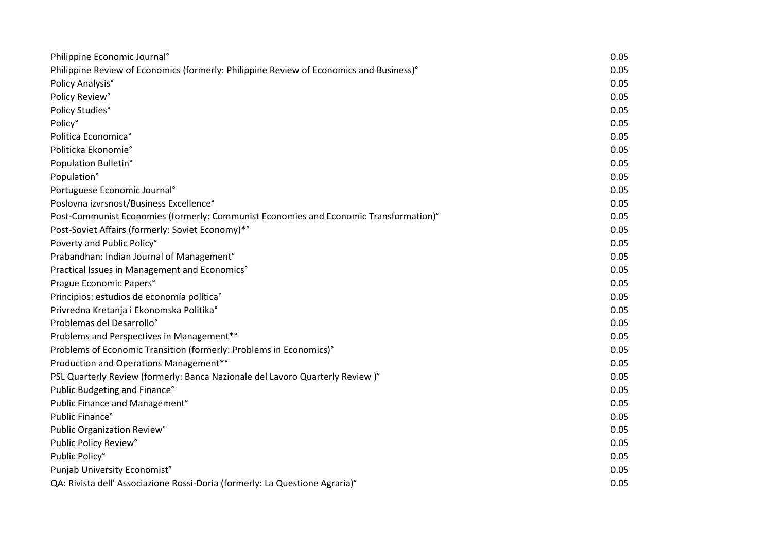| Philippine Economic Journal <sup>°</sup>                                                | 0.05 |
|-----------------------------------------------------------------------------------------|------|
| Philippine Review of Economics (formerly: Philippine Review of Economics and Business)° | 0.05 |
| Policy Analysis°                                                                        | 0.05 |
| Policy Review°                                                                          | 0.05 |
| Policy Studies°                                                                         | 0.05 |
| Policy°                                                                                 | 0.05 |
| Politica Economica°                                                                     | 0.05 |
| Politicka Ekonomie°                                                                     | 0.05 |
| Population Bulletin°                                                                    | 0.05 |
| Population°                                                                             | 0.05 |
| Portuguese Economic Journal <sup>®</sup>                                                | 0.05 |
| Poslovna izvrsnost/Business Excellence°                                                 | 0.05 |
| Post-Communist Economies (formerly: Communist Economies and Economic Transformation)°   | 0.05 |
| Post-Soviet Affairs (formerly: Soviet Economy)*°                                        | 0.05 |
| Poverty and Public Policy°                                                              | 0.05 |
| Prabandhan: Indian Journal of Management <sup>®</sup>                                   | 0.05 |
| Practical Issues in Management and Economics°                                           | 0.05 |
| Prague Economic Papers°                                                                 | 0.05 |
| Principios: estudios de economía política°                                              | 0.05 |
| Privredna Kretanja i Ekonomska Politika°                                                | 0.05 |
| Problemas del Desarrollo°                                                               | 0.05 |
| Problems and Perspectives in Management*°                                               | 0.05 |
| Problems of Economic Transition (formerly: Problems in Economics)°                      | 0.05 |
| Production and Operations Management*°                                                  | 0.05 |
| PSL Quarterly Review (formerly: Banca Nazionale del Lavoro Quarterly Review)°           | 0.05 |
| Public Budgeting and Finance°                                                           | 0.05 |
| Public Finance and Management°                                                          | 0.05 |
| Public Finance°                                                                         | 0.05 |
| Public Organization Review°                                                             | 0.05 |
| Public Policy Review°                                                                   | 0.05 |
| Public Policy°                                                                          | 0.05 |
| Punjab University Economist <sup>®</sup>                                                | 0.05 |
| QA: Rivista dell' Associazione Rossi-Doria (formerly: La Questione Agraria)°            | 0.05 |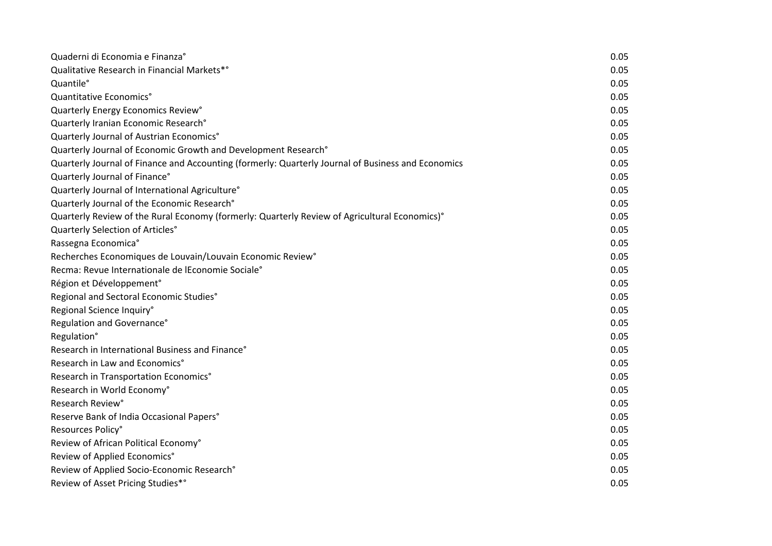| Quaderni di Economia e Finanza°                                                                    | 0.05 |
|----------------------------------------------------------------------------------------------------|------|
| Qualitative Research in Financial Markets*°                                                        | 0.05 |
| Quantile°                                                                                          | 0.05 |
| Quantitative Economics°                                                                            | 0.05 |
| Quarterly Energy Economics Review°                                                                 | 0.05 |
| Quarterly Iranian Economic Research°                                                               | 0.05 |
| Quarterly Journal of Austrian Economics°                                                           | 0.05 |
| Quarterly Journal of Economic Growth and Development Research°                                     | 0.05 |
| Quarterly Journal of Finance and Accounting (formerly: Quarterly Journal of Business and Economics | 0.05 |
| Quarterly Journal of Finance°                                                                      | 0.05 |
| Quarterly Journal of International Agriculture®                                                    | 0.05 |
| Quarterly Journal of the Economic Research°                                                        | 0.05 |
| Quarterly Review of the Rural Economy (formerly: Quarterly Review of Agricultural Economics)°      | 0.05 |
| Quarterly Selection of Articles°                                                                   | 0.05 |
| Rassegna Economica°                                                                                | 0.05 |
| Recherches Economiques de Louvain/Louvain Economic Review°                                         | 0.05 |
| Recma: Revue Internationale de lEconomie Sociale°                                                  | 0.05 |
| Région et Développement°                                                                           | 0.05 |
| Regional and Sectoral Economic Studies°                                                            | 0.05 |
| Regional Science Inquiry°                                                                          | 0.05 |
| Regulation and Governance°                                                                         | 0.05 |
| Regulation°                                                                                        | 0.05 |
| Research in International Business and Finance°                                                    | 0.05 |
| Research in Law and Economics°                                                                     | 0.05 |
| Research in Transportation Economics°                                                              | 0.05 |
| Research in World Economy°                                                                         | 0.05 |
| Research Review°                                                                                   | 0.05 |
| Reserve Bank of India Occasional Papers°                                                           | 0.05 |
| Resources Policy°                                                                                  | 0.05 |
| Review of African Political Economy°                                                               | 0.05 |
| Review of Applied Economics°                                                                       | 0.05 |
| Review of Applied Socio-Economic Research°                                                         | 0.05 |
| Review of Asset Pricing Studies*°                                                                  | 0.05 |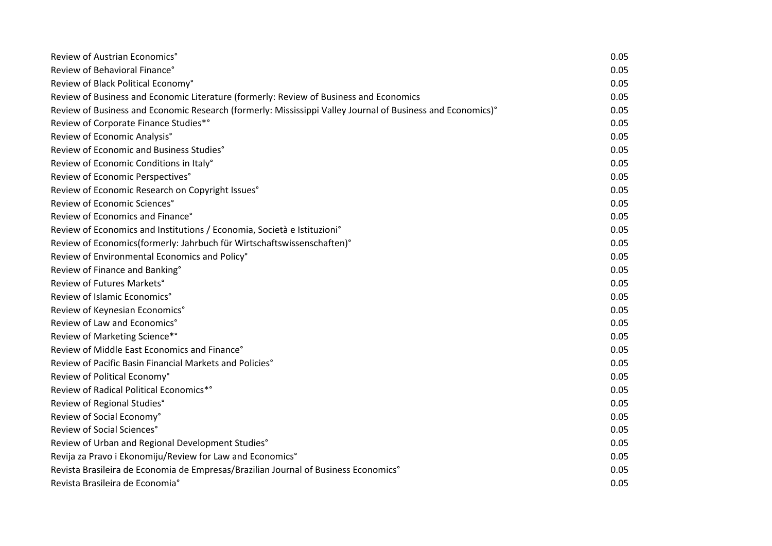| Review of Austrian Economics°                                                                              | 0.05 |
|------------------------------------------------------------------------------------------------------------|------|
| Review of Behavioral Finance°                                                                              | 0.05 |
| Review of Black Political Economy°                                                                         | 0.05 |
| Review of Business and Economic Literature (formerly: Review of Business and Economics                     | 0.05 |
| Review of Business and Economic Research (formerly: Mississippi Valley Journal of Business and Economics)° | 0.05 |
| Review of Corporate Finance Studies*°                                                                      | 0.05 |
| Review of Economic Analysis°                                                                               | 0.05 |
| Review of Economic and Business Studies°                                                                   | 0.05 |
| Review of Economic Conditions in Italy°                                                                    | 0.05 |
| Review of Economic Perspectives°                                                                           | 0.05 |
| Review of Economic Research on Copyright Issues°                                                           | 0.05 |
| Review of Economic Sciences°                                                                               | 0.05 |
| Review of Economics and Finance°                                                                           | 0.05 |
| Review of Economics and Institutions / Economia, Società e Istituzioni°                                    | 0.05 |
| Review of Economics(formerly: Jahrbuch für Wirtschaftswissenschaften)°                                     | 0.05 |
| Review of Environmental Economics and Policy°                                                              | 0.05 |
| Review of Finance and Banking°                                                                             | 0.05 |
| Review of Futures Markets°                                                                                 | 0.05 |
| Review of Islamic Economics°                                                                               | 0.05 |
| Review of Keynesian Economics°                                                                             | 0.05 |
| Review of Law and Economics°                                                                               | 0.05 |
| Review of Marketing Science*°                                                                              | 0.05 |
| Review of Middle East Economics and Finance°                                                               | 0.05 |
| Review of Pacific Basin Financial Markets and Policies°                                                    | 0.05 |
| Review of Political Economy°                                                                               | 0.05 |
| Review of Radical Political Economics*°                                                                    | 0.05 |
| Review of Regional Studies°                                                                                | 0.05 |
| Review of Social Economy°                                                                                  | 0.05 |
| Review of Social Sciences°                                                                                 | 0.05 |
| Review of Urban and Regional Development Studies°                                                          | 0.05 |
| Revija za Pravo i Ekonomiju/Review for Law and Economics°                                                  | 0.05 |
| Revista Brasileira de Economia de Empresas/Brazilian Journal of Business Economics°                        | 0.05 |
| Revista Brasileira de Economia°                                                                            | 0.05 |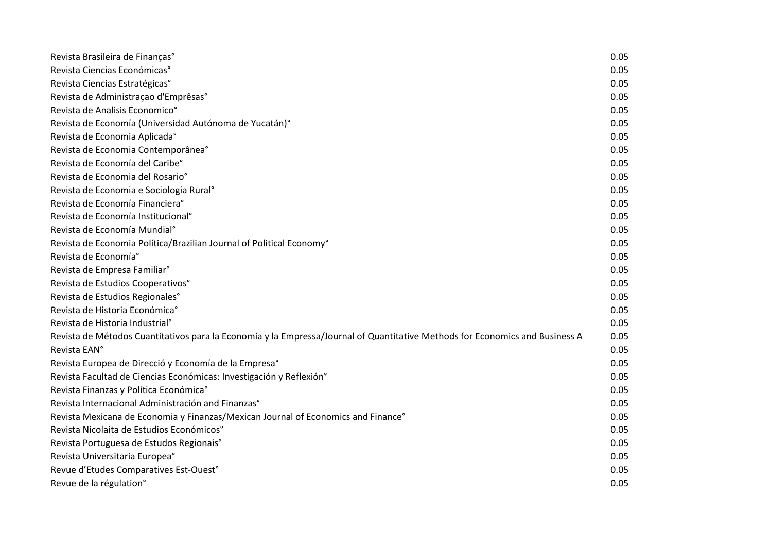| Revista Brasileira de Finanças°                                                                                              | 0.05 |
|------------------------------------------------------------------------------------------------------------------------------|------|
| Revista Ciencias Económicas <sup>®</sup>                                                                                     | 0.05 |
| Revista Ciencias Estratégicas°                                                                                               | 0.05 |
| Revista de Administração d'Emprêsas°                                                                                         | 0.05 |
| Revista de Analisis Economico°                                                                                               | 0.05 |
| Revista de Economía (Universidad Autónoma de Yucatán)°                                                                       | 0.05 |
| Revista de Economia Aplicada°                                                                                                | 0.05 |
| Revista de Economia Contemporânea°                                                                                           | 0.05 |
| Revista de Economía del Caribe°                                                                                              | 0.05 |
| Revista de Economia del Rosario°                                                                                             | 0.05 |
| Revista de Economia e Sociologia Rural <sup>o</sup>                                                                          | 0.05 |
| Revista de Economía Financiera <sup>®</sup>                                                                                  | 0.05 |
| Revista de Economía Institucional <sup>o</sup>                                                                               | 0.05 |
| Revista de Economía Mundial <sup>o</sup>                                                                                     | 0.05 |
| Revista de Economia Política/Brazilian Journal of Political Economy°                                                         | 0.05 |
| Revista de Economía°                                                                                                         | 0.05 |
| Revista de Empresa Familiar <sup>°</sup>                                                                                     | 0.05 |
| Revista de Estudios Cooperativos°                                                                                            | 0.05 |
| Revista de Estudios Regionales°                                                                                              | 0.05 |
| Revista de Historia Económica°                                                                                               | 0.05 |
| Revista de Historia Industrial <sup>°</sup>                                                                                  | 0.05 |
| Revista de Métodos Cuantitativos para la Economía y la Empressa/Journal of Quantitative Methods for Economics and Business A | 0.05 |
| Revista EAN°                                                                                                                 | 0.05 |
| Revista Europea de Direcció y Economía de la Empresa°                                                                        | 0.05 |
| Revista Facultad de Ciencias Económicas: Investigación y Reflexión°                                                          | 0.05 |
| Revista Finanzas y Política Económica°                                                                                       | 0.05 |
| Revista Internacional Administración and Finanzas°                                                                           | 0.05 |
| Revista Mexicana de Economia y Finanzas/Mexican Journal of Economics and Finance°                                            | 0.05 |
| Revista Nicolaita de Estudios Económicos°                                                                                    | 0.05 |
| Revista Portuguesa de Estudos Regionais°                                                                                     | 0.05 |
| Revista Universitaria Europea°                                                                                               | 0.05 |
| Revue d'Etudes Comparatives Est-Ouest°                                                                                       | 0.05 |
| Revue de la régulation°                                                                                                      | 0.05 |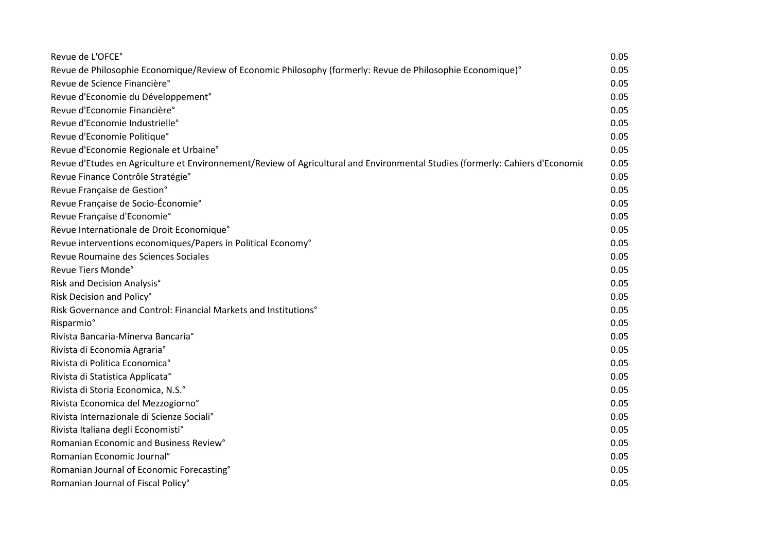| Revue de L'OFCE°                                                                                                              | 0.05 |
|-------------------------------------------------------------------------------------------------------------------------------|------|
| Revue de Philosophie Economique/Review of Economic Philosophy (formerly: Revue de Philosophie Economique)°                    | 0.05 |
| Revue de Science Financière°                                                                                                  | 0.05 |
| Revue d'Economie du Développement°                                                                                            | 0.05 |
| Revue d'Economie Financière°                                                                                                  | 0.05 |
| Revue d'Economie Industrielle°                                                                                                | 0.05 |
| Revue d'Economie Politique°                                                                                                   | 0.05 |
| Revue d'Economie Regionale et Urbaine°                                                                                        | 0.05 |
| Revue d'Etudes en Agriculture et Environnement/Review of Agricultural and Environmental Studies (formerly: Cahiers d'Economie | 0.05 |
| Revue Finance Contrôle Stratégie°                                                                                             | 0.05 |
| Revue Française de Gestion°                                                                                                   | 0.05 |
| Revue Française de Socio-Économie°                                                                                            | 0.05 |
| Revue Française d'Economie°                                                                                                   | 0.05 |
| Revue Internationale de Droit Economique°                                                                                     | 0.05 |
| Revue interventions economiques/Papers in Political Economy°                                                                  | 0.05 |
| Revue Roumaine des Sciences Sociales                                                                                          | 0.05 |
| Revue Tiers Monde°                                                                                                            | 0.05 |
| Risk and Decision Analysis°                                                                                                   | 0.05 |
| Risk Decision and Policy°                                                                                                     | 0.05 |
| Risk Governance and Control: Financial Markets and Institutions°                                                              | 0.05 |
| Risparmio <sup>°</sup>                                                                                                        | 0.05 |
| Rivista Bancaria-Minerva Bancaria°                                                                                            | 0.05 |
| Rivista di Economia Agraria°                                                                                                  | 0.05 |
| Rivista di Politica Economica°                                                                                                | 0.05 |
| Rivista di Statistica Applicata°                                                                                              | 0.05 |
| Rivista di Storia Economica, N.S.º                                                                                            | 0.05 |
| Rivista Economica del Mezzogiorno°                                                                                            | 0.05 |
| Rivista Internazionale di Scienze Sociali°                                                                                    | 0.05 |
| Rivista Italiana degli Economisti°                                                                                            | 0.05 |
| Romanian Economic and Business Review°                                                                                        | 0.05 |
| Romanian Economic Journal <sup>®</sup>                                                                                        | 0.05 |
| Romanian Journal of Economic Forecasting°                                                                                     | 0.05 |
| Romanian Journal of Fiscal Policy°                                                                                            | 0.05 |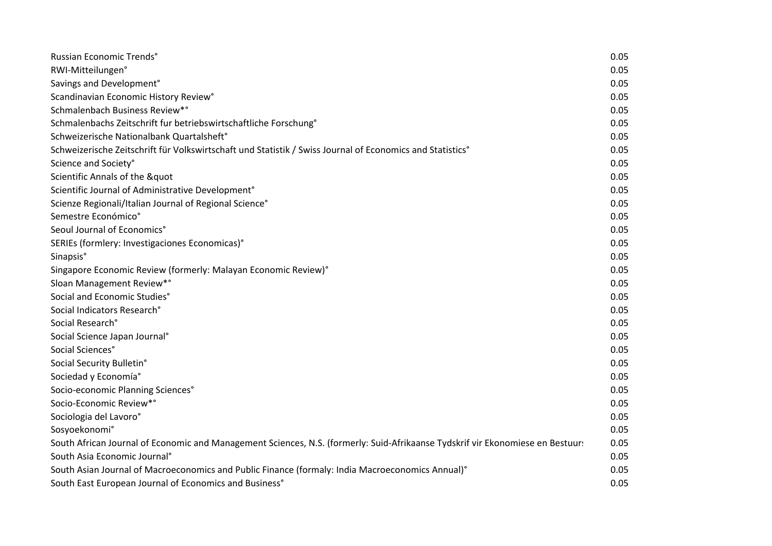| Russian Economic Trends°                                                                                                       | 0.05 |
|--------------------------------------------------------------------------------------------------------------------------------|------|
| RWI-Mitteilungen°                                                                                                              | 0.05 |
| Savings and Development°                                                                                                       | 0.05 |
| Scandinavian Economic History Review°                                                                                          | 0.05 |
| Schmalenbach Business Review*°                                                                                                 | 0.05 |
| Schmalenbachs Zeitschrift fur betriebswirtschaftliche Forschung°                                                               | 0.05 |
| Schweizerische Nationalbank Quartalsheft°                                                                                      | 0.05 |
| Schweizerische Zeitschrift für Volkswirtschaft und Statistik / Swiss Journal of Economics and Statistics°                      | 0.05 |
| Science and Society°                                                                                                           | 0.05 |
| Scientific Annals of the "                                                                                                     | 0.05 |
| Scientific Journal of Administrative Development°                                                                              | 0.05 |
| Scienze Regionali/Italian Journal of Regional Science°                                                                         | 0.05 |
| Semestre Económico°                                                                                                            | 0.05 |
| Seoul Journal of Economics°                                                                                                    | 0.05 |
| SERIEs (formlery: Investigaciones Economicas)°                                                                                 | 0.05 |
| Sinapsis°                                                                                                                      | 0.05 |
| Singapore Economic Review (formerly: Malayan Economic Review)°                                                                 | 0.05 |
| Sloan Management Review*°                                                                                                      | 0.05 |
| Social and Economic Studies°                                                                                                   | 0.05 |
| Social Indicators Research°                                                                                                    | 0.05 |
| Social Research°                                                                                                               | 0.05 |
| Social Science Japan Journal <sup>°</sup>                                                                                      | 0.05 |
| Social Sciences°                                                                                                               | 0.05 |
| Social Security Bulletin°                                                                                                      | 0.05 |
| Sociedad y Economía°                                                                                                           | 0.05 |
| Socio-economic Planning Sciences°                                                                                              | 0.05 |
| Socio-Economic Review*°                                                                                                        | 0.05 |
| Sociologia del Lavoro°                                                                                                         | 0.05 |
| Sosyoekonomi°                                                                                                                  | 0.05 |
| South African Journal of Economic and Management Sciences, N.S. (formerly: Suid-Afrikaanse Tydskrif vir Ekonomiese en Bestuur: | 0.05 |
| South Asia Economic Journal <sup>®</sup>                                                                                       | 0.05 |
| South Asian Journal of Macroeconomics and Public Finance (formaly: India Macroeconomics Annual)°                               | 0.05 |
| South East European Journal of Economics and Business°                                                                         | 0.05 |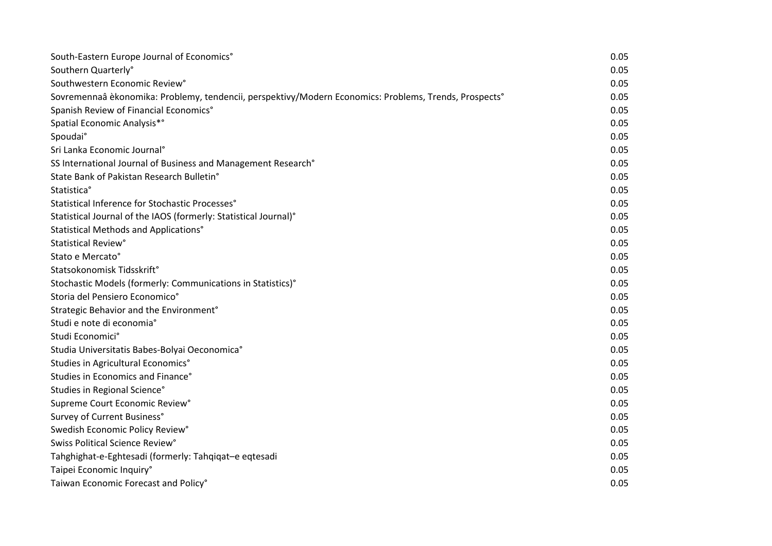| South-Eastern Europe Journal of Economics°                                                             | 0.05 |
|--------------------------------------------------------------------------------------------------------|------|
| Southern Quarterly°                                                                                    | 0.05 |
| Southwestern Economic Review°                                                                          | 0.05 |
| Sovremennaâ èkonomika: Problemy, tendencii, perspektivy/Modern Economics: Problems, Trends, Prospects° | 0.05 |
| Spanish Review of Financial Economics°                                                                 | 0.05 |
| Spatial Economic Analysis*°                                                                            | 0.05 |
| Spoudai°                                                                                               | 0.05 |
| Sri Lanka Economic Journal <sup>°</sup>                                                                | 0.05 |
| SS International Journal of Business and Management Research°                                          | 0.05 |
| State Bank of Pakistan Research Bulletin°                                                              | 0.05 |
| Statistica°                                                                                            | 0.05 |
| Statistical Inference for Stochastic Processes°                                                        | 0.05 |
| Statistical Journal of the IAOS (formerly: Statistical Journal)°                                       | 0.05 |
| Statistical Methods and Applications°                                                                  | 0.05 |
| Statistical Review°                                                                                    | 0.05 |
| Stato e Mercato°                                                                                       | 0.05 |
| Statsokonomisk Tidsskrift°                                                                             | 0.05 |
| Stochastic Models (formerly: Communications in Statistics)°                                            | 0.05 |
| Storia del Pensiero Economico°                                                                         | 0.05 |
| Strategic Behavior and the Environment <sup>°</sup>                                                    | 0.05 |
| Studi e note di economia°                                                                              | 0.05 |
| Studi Economici°                                                                                       | 0.05 |
| Studia Universitatis Babes-Bolyai Oeconomica°                                                          | 0.05 |
| Studies in Agricultural Economics°                                                                     | 0.05 |
| Studies in Economics and Finance°                                                                      | 0.05 |
| Studies in Regional Science°                                                                           | 0.05 |
| Supreme Court Economic Review°                                                                         | 0.05 |
| Survey of Current Business°                                                                            | 0.05 |
| Swedish Economic Policy Review°                                                                        | 0.05 |
| Swiss Political Science Review°                                                                        | 0.05 |
| Tahghighat-e-Eghtesadi (formerly: Tahqiqat-e eqtesadi                                                  | 0.05 |
| Taipei Economic Inquiry°                                                                               | 0.05 |
| Taiwan Economic Forecast and Policy°                                                                   | 0.05 |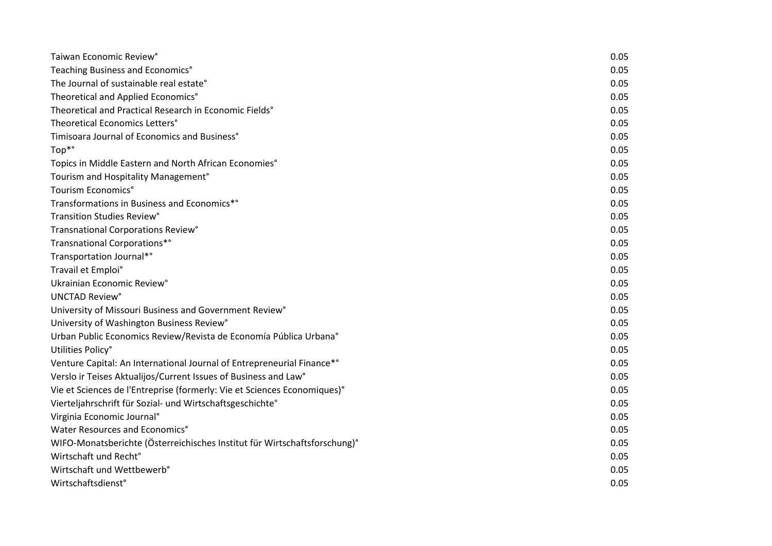| Taiwan Economic Review°                                                   | 0.05 |
|---------------------------------------------------------------------------|------|
| Teaching Business and Economics°                                          | 0.05 |
| The Journal of sustainable real estate°                                   | 0.05 |
| Theoretical and Applied Economics°                                        | 0.05 |
| Theoretical and Practical Research in Economic Fields°                    | 0.05 |
| Theoretical Economics Letters°                                            | 0.05 |
| Timisoara Journal of Economics and Business°                              | 0.05 |
| Top*°                                                                     | 0.05 |
| Topics in Middle Eastern and North African Economies°                     | 0.05 |
| Tourism and Hospitality Management <sup>o</sup>                           | 0.05 |
| Tourism Economics°                                                        | 0.05 |
| Transformations in Business and Economics*°                               | 0.05 |
| Transition Studies Review°                                                | 0.05 |
| Transnational Corporations Review°                                        | 0.05 |
| Transnational Corporations*°                                              | 0.05 |
| Transportation Journal*°                                                  | 0.05 |
| Travail et Emploi°                                                        | 0.05 |
| Ukrainian Economic Review°                                                | 0.05 |
| UNCTAD Review°                                                            | 0.05 |
| University of Missouri Business and Government Review <sup>°</sup>        | 0.05 |
| University of Washington Business Review°                                 | 0.05 |
| Urban Public Economics Review/Revista de Economía Pública Urbana°         | 0.05 |
| Utilities Policy°                                                         | 0.05 |
| Venture Capital: An International Journal of Entrepreneurial Finance*°    | 0.05 |
| Verslo ir Teises Aktualijos/Current Issues of Business and Law°           | 0.05 |
| Vie et Sciences de l'Entreprise (formerly: Vie et Sciences Economiques)°  | 0.05 |
| Vierteljahrschrift für Sozial- und Wirtschaftsgeschichte°                 | 0.05 |
| Virginia Economic Journal <sup>°</sup>                                    | 0.05 |
| Water Resources and Economics°                                            | 0.05 |
| WIFO-Monatsberichte (Österreichisches Institut für Wirtschaftsforschung)° | 0.05 |
| Wirtschaft und Recht°                                                     | 0.05 |
| Wirtschaft und Wettbewerb°                                                | 0.05 |
| Wirtschaftsdienst°                                                        | 0.05 |